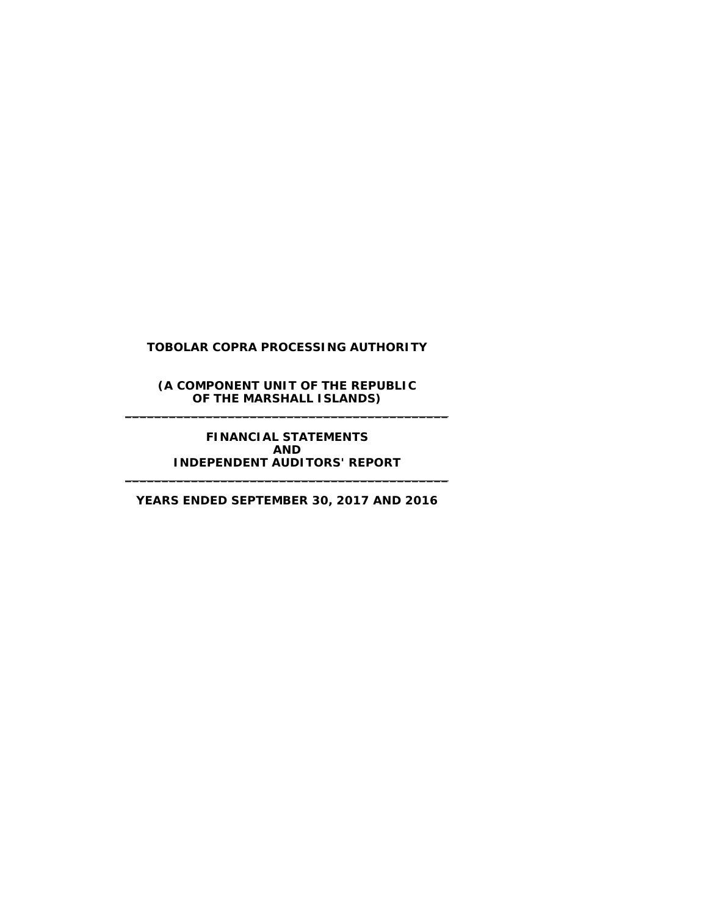**(A COMPONENT UNIT OF THE REPUBLIC OF THE MARSHALL ISLANDS)**  $\frac{1}{2}$  ,  $\frac{1}{2}$  ,  $\frac{1}{2}$  ,  $\frac{1}{2}$  ,  $\frac{1}{2}$  ,  $\frac{1}{2}$  ,  $\frac{1}{2}$  ,  $\frac{1}{2}$  ,  $\frac{1}{2}$  ,  $\frac{1}{2}$  ,  $\frac{1}{2}$  ,  $\frac{1}{2}$  ,  $\frac{1}{2}$  ,  $\frac{1}{2}$  ,  $\frac{1}{2}$  ,  $\frac{1}{2}$  ,  $\frac{1}{2}$  ,  $\frac{1}{2}$  ,  $\frac{1$ 

> **FINANCIAL STATEMENTS AND INDEPENDENT AUDITORS' REPORT**

**YEARS ENDED SEPTEMBER 30, 2017 AND 2016**

 $\frac{1}{2}$  ,  $\frac{1}{2}$  ,  $\frac{1}{2}$  ,  $\frac{1}{2}$  ,  $\frac{1}{2}$  ,  $\frac{1}{2}$  ,  $\frac{1}{2}$  ,  $\frac{1}{2}$  ,  $\frac{1}{2}$  ,  $\frac{1}{2}$  ,  $\frac{1}{2}$  ,  $\frac{1}{2}$  ,  $\frac{1}{2}$  ,  $\frac{1}{2}$  ,  $\frac{1}{2}$  ,  $\frac{1}{2}$  ,  $\frac{1}{2}$  ,  $\frac{1}{2}$  ,  $\frac{1$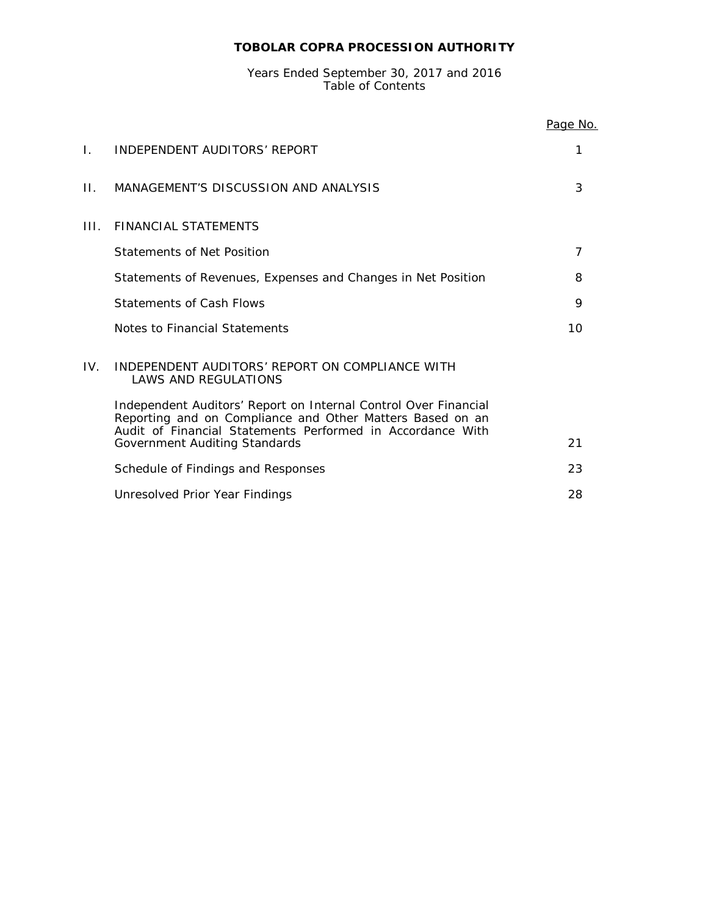# Years Ended September 30, 2017 and 2016 Table of Contents

|         |                                                                                                                                                                                            | Page No. |
|---------|--------------------------------------------------------------------------------------------------------------------------------------------------------------------------------------------|----------|
| T.      | INDEPENDENT AUDITORS' REPORT                                                                                                                                                               | 1        |
| $\Pi$ . | MANAGEMENT'S DISCUSSION AND ANALYSIS                                                                                                                                                       | 3        |
| HL.     | FINANCIAL STATEMENTS                                                                                                                                                                       |          |
|         | Statements of Net Position                                                                                                                                                                 | 7        |
|         | Statements of Revenues, Expenses and Changes in Net Position                                                                                                                               | 8        |
|         | Statements of Cash Flows                                                                                                                                                                   | 9        |
|         | Notes to Financial Statements                                                                                                                                                              | 10       |
| IV.     | INDEPENDENT AUDITORS' REPORT ON COMPLIANCE WITH<br><b>LAWS AND REGULATIONS</b>                                                                                                             |          |
|         | Independent Auditors' Report on Internal Control Over Financial<br>Reporting and on Compliance and Other Matters Based on an<br>Audit of Financial Statements Performed in Accordance With |          |
|         | Government Auditing Standards                                                                                                                                                              | 21       |
|         | Schedule of Findings and Responses                                                                                                                                                         | 23       |
|         | Unresolved Prior Year Findings                                                                                                                                                             | 28       |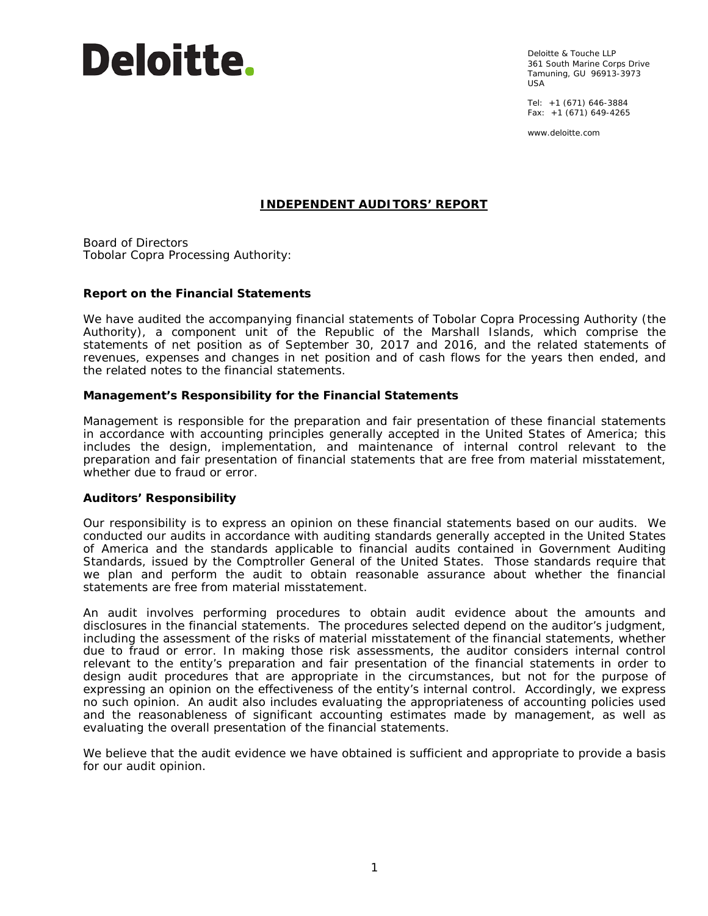# Deloitte.

Deloitte & Touche LLP 361 South Marine Corps Drive Tamuning, GU 96913-3973 USA

Tel: +1 (671) 646-3884 Fax: +1 (671) 649-4265

www.deloitte.com

# **INDEPENDENT AUDITORS' REPORT**

Board of Directors Tobolar Copra Processing Authority:

# **Report on the Financial Statements**

We have audited the accompanying financial statements of Tobolar Copra Processing Authority (the Authority), a component unit of the Republic of the Marshall Islands, which comprise the statements of net position as of September 30, 2017 and 2016, and the related statements of revenues, expenses and changes in net position and of cash flows for the years then ended, and the related notes to the financial statements.

# *Management's Responsibility for the Financial Statements*

Management is responsible for the preparation and fair presentation of these financial statements in accordance with accounting principles generally accepted in the United States of America; this includes the design, implementation, and maintenance of internal control relevant to the preparation and fair presentation of financial statements that are free from material misstatement, whether due to fraud or error.

#### *Auditors' Responsibility*

Our responsibility is to express an opinion on these financial statements based on our audits. We conducted our audits in accordance with auditing standards generally accepted in the United States of America and the standards applicable to financial audits contained in *Government Auditing Standards,* issued by the Comptroller General of the United States. Those standards require that we plan and perform the audit to obtain reasonable assurance about whether the financial statements are free from material misstatement.

An audit involves performing procedures to obtain audit evidence about the amounts and disclosures in the financial statements. The procedures selected depend on the auditor's judgment, including the assessment of the risks of material misstatement of the financial statements, whether due to fraud or error. In making those risk assessments, the auditor considers internal control relevant to the entity's preparation and fair presentation of the financial statements in order to design audit procedures that are appropriate in the circumstances, but not for the purpose of expressing an opinion on the effectiveness of the entity's internal control. Accordingly, we express no such opinion. An audit also includes evaluating the appropriateness of accounting policies used and the reasonableness of significant accounting estimates made by management, as well as evaluating the overall presentation of the financial statements.

We believe that the audit evidence we have obtained is sufficient and appropriate to provide a basis for our audit opinion.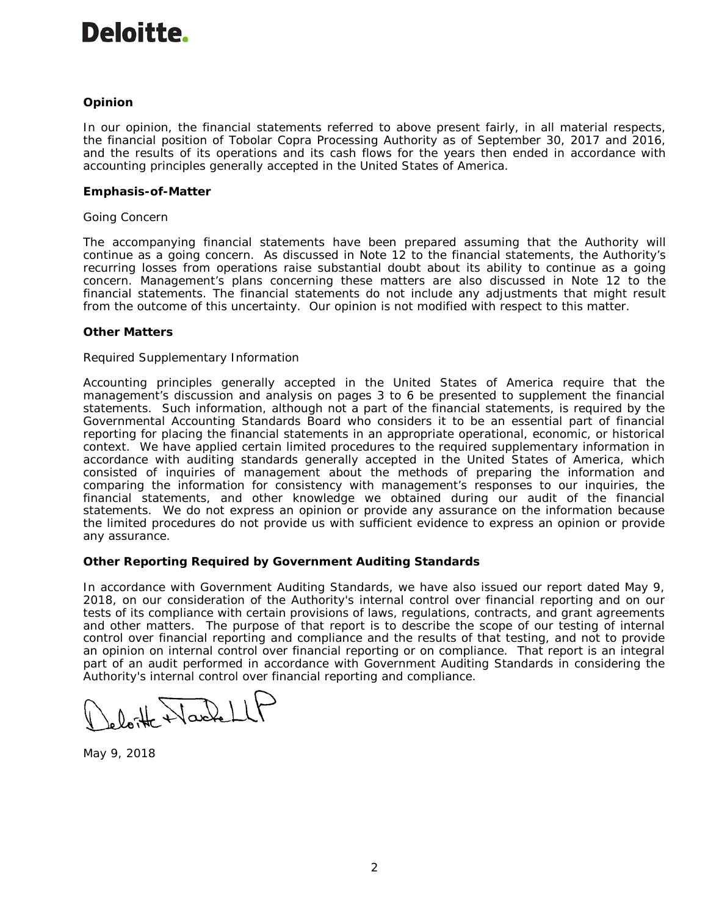# Deloitte.

# *Opinion*

In our opinion, the financial statements referred to above present fairly, in all material respects, the financial position of Tobolar Copra Processing Authority as of September 30, 2017 and 2016, and the results of its operations and its cash flows for the years then ended in accordance with accounting principles generally accepted in the United States of America.

# *Emphasis-of-Matter*

# *Going Concern*

The accompanying financial statements have been prepared assuming that the Authority will continue as a going concern. As discussed in Note 12 to the financial statements, the Authority's recurring losses from operations raise substantial doubt about its ability to continue as a going concern. Management's plans concerning these matters are also discussed in Note 12 to the financial statements. The financial statements do not include any adjustments that might result from the outcome of this uncertainty. Our opinion is not modified with respect to this matter.

# *Other Matters*

# *Required Supplementary Information*

Accounting principles generally accepted in the United States of America require that the management's discussion and analysis on pages 3 to 6 be presented to supplement the financial statements. Such information, although not a part of the financial statements, is required by the Governmental Accounting Standards Board who considers it to be an essential part of financial reporting for placing the financial statements in an appropriate operational, economic, or historical context. We have applied certain limited procedures to the required supplementary information in accordance with auditing standards generally accepted in the United States of America, which consisted of inquiries of management about the methods of preparing the information and comparing the information for consistency with management's responses to our inquiries, the financial statements, and other knowledge we obtained during our audit of the financial statements. We do not express an opinion or provide any assurance on the information because the limited procedures do not provide us with sufficient evidence to express an opinion or provide any assurance.

# **Other Reporting Required by** *Government Auditing Standards*

In accordance with *Government Auditing Standards*, we have also issued our report dated May 9, 2018, on our consideration of the Authority's internal control over financial reporting and on our tests of its compliance with certain provisions of laws, regulations, contracts, and grant agreements and other matters. The purpose of that report is to describe the scope of our testing of internal control over financial reporting and compliance and the results of that testing, and not to provide an opinion on internal control over financial reporting or on compliance. That report is an integral part of an audit performed in accordance with *Government Auditing Standards* in considering the Authority's internal control over financial reporting and compliance.

forthe Wackel

May 9, 2018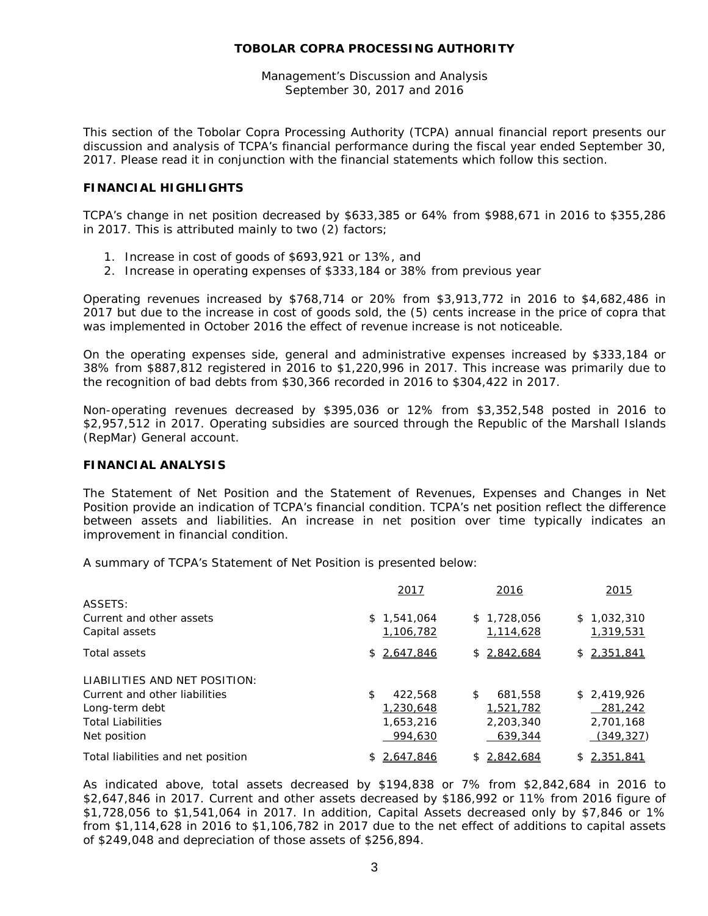Management's Discussion and Analysis September 30, 2017 and 2016

This section of the Tobolar Copra Processing Authority (TCPA) annual financial report presents our discussion and analysis of TCPA's financial performance during the fiscal year ended September 30, 2017. Please read it in conjunction with the financial statements which follow this section.

# **FINANCIAL HIGHLIGHTS**

TCPA's change in net position decreased by \$633,385 or 64% from \$988,671 in 2016 to \$355,286 in 2017. This is attributed mainly to two (2) factors;

- 1. Increase in cost of goods of \$693,921 or 13%, and
- 2. Increase in operating expenses of \$333,184 or 38% from previous year

Operating revenues increased by \$768,714 or 20% from \$3,913,772 in 2016 to \$4,682,486 in 2017 but due to the increase in cost of goods sold, the (5) cents increase in the price of copra that was implemented in October 2016 the effect of revenue increase is not noticeable.

On the operating expenses side, general and administrative expenses increased by \$333,184 or 38% from \$887,812 registered in 2016 to \$1,220,996 in 2017. This increase was primarily due to the recognition of bad debts from \$30,366 recorded in 2016 to \$304,422 in 2017.

Non-operating revenues decreased by \$395,036 or 12% from \$3,352,548 posted in 2016 to \$2,957,512 in 2017. Operating subsidies are sourced through the Republic of the Marshall Islands (RepMar) General account.

# **FINANCIAL ANALYSIS**

The Statement of Net Position and the Statement of Revenues, Expenses and Changes in Net Position provide an indication of TCPA's financial condition. TCPA's net position reflect the difference between assets and liabilities. An increase in net position over time typically indicates an improvement in financial condition.

A summary of TCPA's Statement of Net Position is presented below:

|                                    | 2017          | 2016          | 2015            |
|------------------------------------|---------------|---------------|-----------------|
| ASSETS:                            |               |               |                 |
| Current and other assets           | \$1.541.064   | \$1.728.056   | \$1,032,310     |
| Capital assets                     | 1,106,782     | 1,114,628     | 1,319,531       |
| Total assets                       | \$2.647.846   | \$2.842.684   | \$2.351.841     |
| LIABILITIES AND NET POSITION:      |               |               |                 |
| Current and other liabilities      | \$<br>422,568 | \$<br>681,558 | \$2,419,926     |
| Long-term debt                     | 1,230,648     | 1,521,782     | 281,242         |
| <b>Total Liabilities</b>           | 1,653,216     | 2,203,340     | 2,701,168       |
| Net position                       | 994,630       | 639,344       | (349, 327)      |
| Total liabilities and net position | 2.647.846     | 2,842,684     | 2,351,841<br>\$ |

As indicated above, total assets decreased by \$194,838 or 7% from \$2,842,684 in 2016 to \$2,647,846 in 2017. Current and other assets decreased by \$186,992 or 11% from 2016 figure of \$1,728,056 to \$1,541,064 in 2017. In addition, Capital Assets decreased only by \$7,846 or 1% from \$1,114,628 in 2016 to \$1,106,782 in 2017 due to the net effect of additions to capital assets of \$249,048 and depreciation of those assets of \$256,894.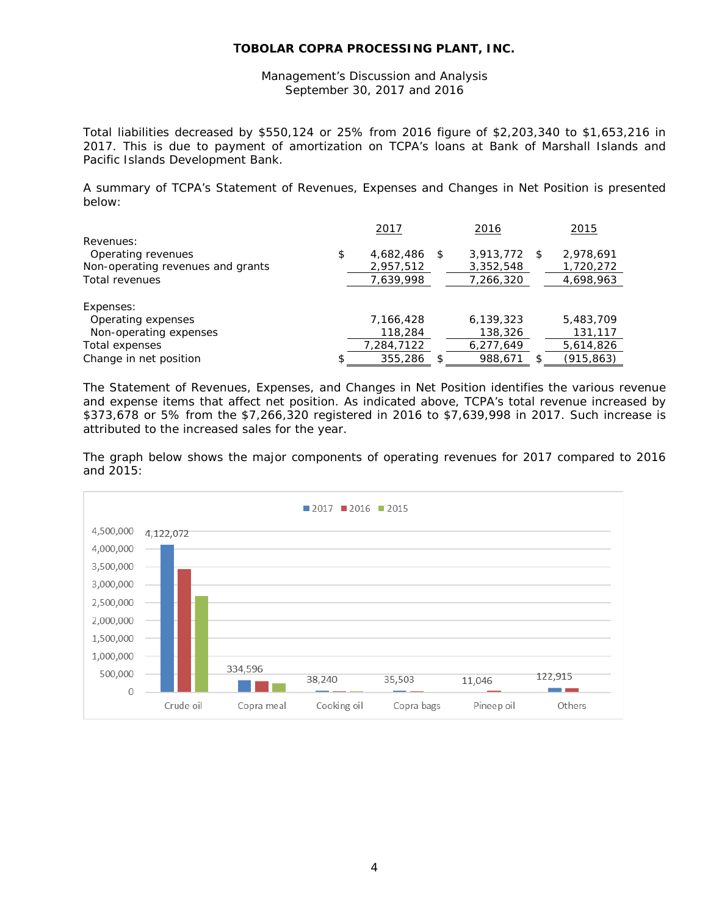# **TOBOLAR COPRA PROCESSING PLANT, INC.**

Management's Discussion and Analysis September 30, 2017 and 2016

Total liabilities decreased by \$550,124 or 25% from 2016 figure of \$2,203,340 to \$1,653,216 in 2017. This is due to payment of amortization on TCPA's loans at Bank of Marshall Islands and Pacific Islands Development Bank.

A summary of TCPA's Statement of Revenues, Expenses and Changes in Net Position is presented below:

|                                   | 2017            |   | 2016      | 2015      |
|-----------------------------------|-----------------|---|-----------|-----------|
| Revenues:                         |                 |   |           |           |
| Operating revenues                | \$<br>4,682,486 | S | 3,913,772 | 2,978,691 |
| Non-operating revenues and grants | 2,957,512       |   | 3,352,548 | 1,720,272 |
| Total revenues                    | 7,639,998       |   | 7,266,320 | 4,698,963 |
|                                   |                 |   |           |           |
| Expenses:                         |                 |   |           |           |
| Operating expenses                | 7,166,428       |   | 6,139,323 | 5,483,709 |
| Non-operating expenses            | 118,284         |   | 138,326   | 131,117   |
| Total expenses                    | 7,284,7122      |   | 6,277,649 | 5,614,826 |
| Change in net position            | 355,286         |   | 988,671   | (915,863) |

The Statement of Revenues, Expenses, and Changes in Net Position identifies the various revenue and expense items that affect net position. As indicated above, TCPA's total revenue increased by \$373,678 or 5% from the \$7,266,320 registered in 2016 to \$7,639,998 in 2017. Such increase is attributed to the increased sales for the year.

The graph below shows the major components of operating revenues for 2017 compared to 2016 and 2015:

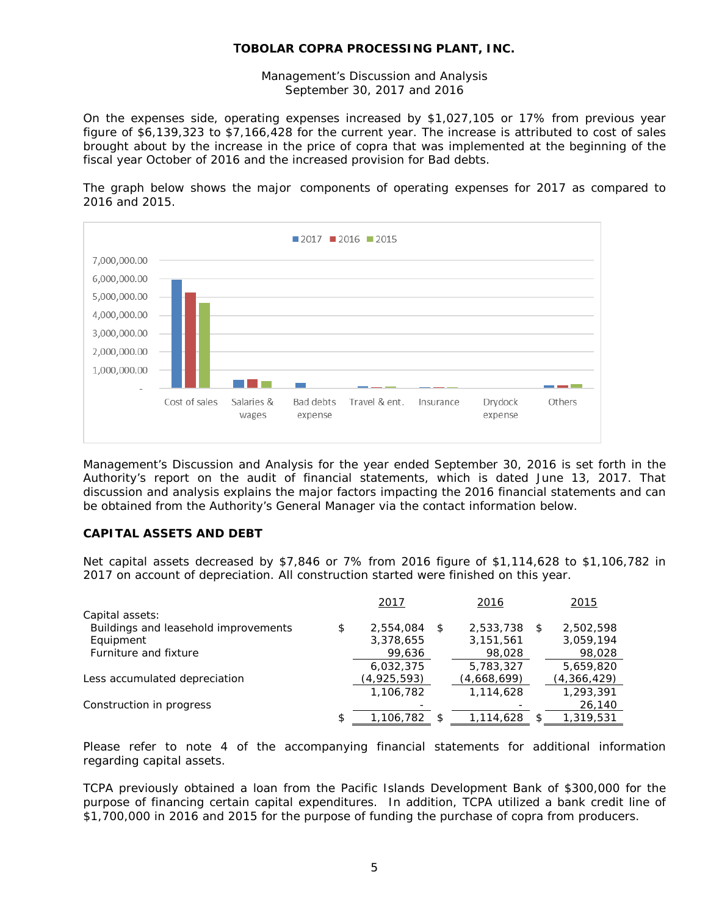# **TOBOLAR COPRA PROCESSING PLANT, INC.**

Management's Discussion and Analysis September 30, 2017 and 2016

On the expenses side, operating expenses increased by \$1,027,105 or 17% from previous year figure of \$6,139,323 to \$7,166,428 for the current year. The increase is attributed to cost of sales brought about by the increase in the price of copra that was implemented at the beginning of the fiscal year October of 2016 and the increased provision for Bad debts.

The graph below shows the major components of operating expenses for 2017 as compared to 2016 and 2015.



Management's Discussion and Analysis for the year ended September 30, 2016 is set forth in the Authority's report on the audit of financial statements, which is dated June 13, 2017. That discussion and analysis explains the major factors impacting the 2016 financial statements and can be obtained from the Authority's General Manager via the contact information below.

# **CAPITAL ASSETS AND DEBT**

Net capital assets decreased by \$7,846 or 7% from 2016 figure of \$1,114,628 to \$1,106,782 in 2017 on account of depreciation. All construction started were finished on this year.

|                                      | 2017            |   | 2016        |   | 2015        |
|--------------------------------------|-----------------|---|-------------|---|-------------|
| Capital assets:                      |                 |   |             |   |             |
| Buildings and leasehold improvements | \$<br>2,554,084 | S | 2,533,738   | S | 2,502,598   |
| Equipment                            | 3,378,655       |   | 3,151,561   |   | 3,059,194   |
| Furniture and fixture                | 99,636          |   | 98,028      |   | 98,028      |
|                                      | 6,032,375       |   | 5,783,327   |   | 5,659,820   |
| Less accumulated depreciation        | (4, 925, 593)   |   | (4,668,699) |   | (4,366,429) |
|                                      | 1,106,782       |   | 1,114,628   |   | 1,293,391   |
| Construction in progress             |                 |   |             |   | 26,140      |
|                                      | 1,106,782       |   | 1,114,628   |   | 1,319,531   |

Please refer to note 4 of the accompanying financial statements for additional information regarding capital assets.

TCPA previously obtained a loan from the Pacific Islands Development Bank of \$300,000 for the purpose of financing certain capital expenditures. In addition, TCPA utilized a bank credit line of \$1,700,000 in 2016 and 2015 for the purpose of funding the purchase of copra from producers.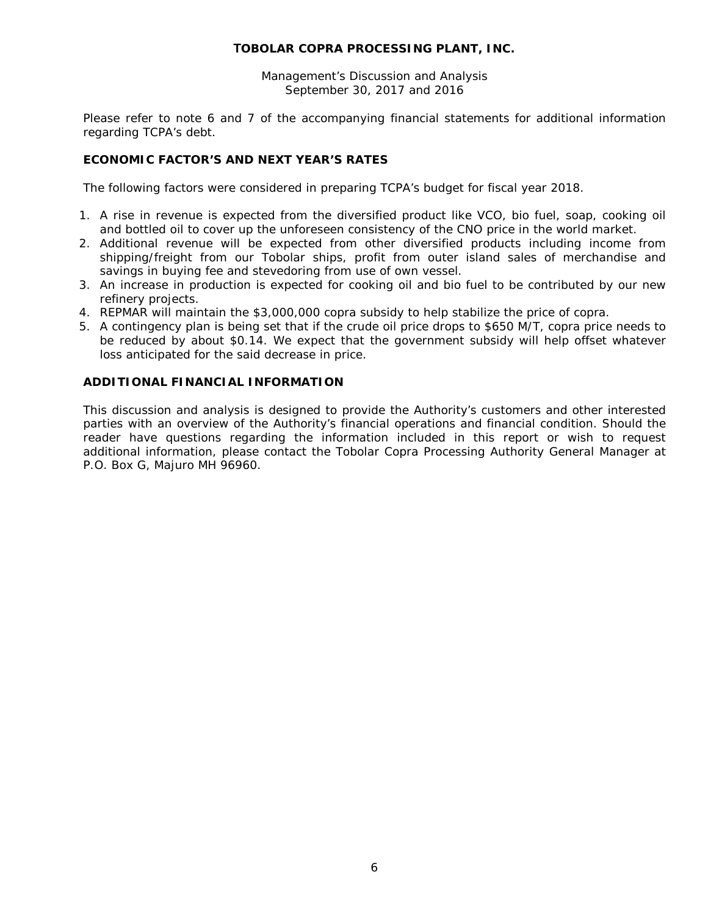# **TOBOLAR COPRA PROCESSING PLANT, INC.**

Management's Discussion and Analysis September 30, 2017 and 2016

Please refer to note 6 and 7 of the accompanying financial statements for additional information regarding TCPA's debt.

# **ECONOMIC FACTOR'S AND NEXT YEAR'S RATES**

The following factors were considered in preparing TCPA's budget for fiscal year 2018.

- 1. A rise in revenue is expected from the diversified product like VCO, bio fuel, soap, cooking oil and bottled oil to cover up the unforeseen consistency of the CNO price in the world market.
- 2. Additional revenue will be expected from other diversified products including income from shipping/freight from our Tobolar ships, profit from outer island sales of merchandise and savings in buying fee and stevedoring from use of own vessel.
- 3. An increase in production is expected for cooking oil and bio fuel to be contributed by our new refinery projects.
- 4. REPMAR will maintain the \$3,000,000 copra subsidy to help stabilize the price of copra.
- 5. A contingency plan is being set that if the crude oil price drops to \$650 M/T, copra price needs to be reduced by about \$0.14. We expect that the government subsidy will help offset whatever loss anticipated for the said decrease in price.

# **ADDITIONAL FINANCIAL INFORMATION**

This discussion and analysis is designed to provide the Authority's customers and other interested parties with an overview of the Authority's financial operations and financial condition. Should the reader have questions regarding the information included in this report or wish to request additional information, please contact the Tobolar Copra Processing Authority General Manager at P.O. Box G, Majuro MH 96960.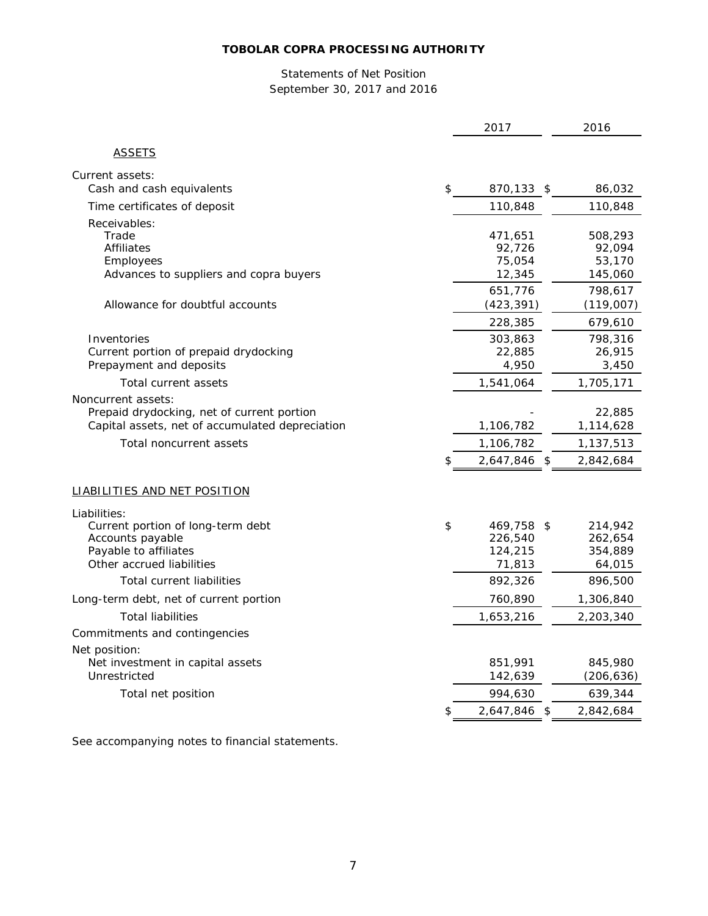# Statements of Net Position September 30, 2017 and 2016

|                                                                                               | 2017               | 2016                |
|-----------------------------------------------------------------------------------------------|--------------------|---------------------|
| <b>ASSETS</b>                                                                                 |                    |                     |
| Current assets:                                                                               |                    |                     |
| Cash and cash equivalents                                                                     | \$<br>870,133 \$   | 86,032              |
| Time certificates of deposit                                                                  | 110,848            | 110,848             |
| Receivables:                                                                                  |                    |                     |
| Trade                                                                                         | 471,651            | 508,293             |
| Affiliates<br>Employees                                                                       | 92,726<br>75,054   | 92,094<br>53,170    |
| Advances to suppliers and copra buyers                                                        | 12,345             | 145,060             |
|                                                                                               | 651,776            | 798,617             |
| Allowance for doubtful accounts                                                               | (423, 391)         | (119,007)           |
|                                                                                               | 228,385            | 679,610             |
| Inventories                                                                                   | 303,863            | 798,316             |
| Current portion of prepaid drydocking                                                         | 22,885             | 26,915              |
| Prepayment and deposits                                                                       | 4,950              | 3,450               |
| Total current assets                                                                          | 1,541,064          | 1,705,171           |
| Noncurrent assets:                                                                            |                    |                     |
| Prepaid drydocking, net of current portion<br>Capital assets, net of accumulated depreciation | 1,106,782          | 22,885<br>1,114,628 |
| Total noncurrent assets                                                                       |                    |                     |
|                                                                                               | 1,106,782          | 1,137,513           |
|                                                                                               | \$<br>2,647,846 \$ | 2,842,684           |
| <b>LIABILITIES AND NET POSITION</b>                                                           |                    |                     |
| Liabilities:                                                                                  |                    |                     |
| Current portion of long-term debt                                                             | \$<br>469,758 \$   | 214,942             |
| Accounts payable                                                                              | 226,540            | 262,654             |
| Payable to affiliates<br>Other accrued liabilities                                            | 124,215<br>71,813  | 354,889<br>64,015   |
| <b>Total current liabilities</b>                                                              | 892,326            | 896,500             |
| Long-term debt, net of current portion                                                        | 760,890            | 1,306,840           |
| <b>Total liabilities</b>                                                                      | 1,653,216          | 2,203,340           |
| Commitments and contingencies                                                                 |                    |                     |
| Net position:                                                                                 |                    |                     |
| Net investment in capital assets                                                              | 851,991            | 845,980             |
| Unrestricted                                                                                  | 142,639            | (206, 636)          |
| Total net position                                                                            | 994,630            | 639,344             |
|                                                                                               | \$<br>2,647,846    | \$<br>2,842,684     |

See accompanying notes to financial statements.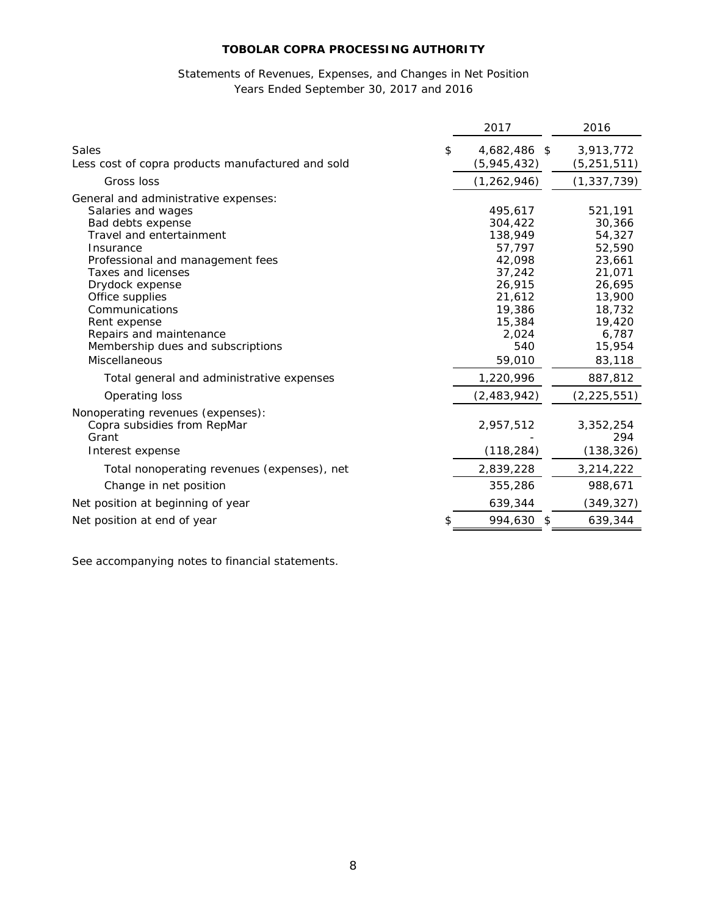# Statements of Revenues, Expenses, and Changes in Net Position Years Ended September 30, 2017 and 2016

| Sales<br>4,682,486 \$<br>3,913,772<br>\$<br>Less cost of copra products manufactured and sold<br>(5, 945, 432)                                                                                                                                                                                                                                                                                                                                                               | (5, 251, 511)                                                                                                                  |
|------------------------------------------------------------------------------------------------------------------------------------------------------------------------------------------------------------------------------------------------------------------------------------------------------------------------------------------------------------------------------------------------------------------------------------------------------------------------------|--------------------------------------------------------------------------------------------------------------------------------|
| (1, 337, 739)<br>Gross loss<br>(1, 262, 946)                                                                                                                                                                                                                                                                                                                                                                                                                                 |                                                                                                                                |
| General and administrative expenses:<br>Salaries and wages<br>495,617<br>Bad debts expense<br>304,422<br>Travel and entertainment<br>138,949<br>57,797<br>Insurance<br>42,098<br>Professional and management fees<br>Taxes and licenses<br>37,242<br>Drydock expense<br>26,915<br>21,612<br>Office supplies<br>Communications<br>19,386<br>15,384<br>Rent expense<br>Repairs and maintenance<br>2,024<br>Membership dues and subscriptions<br>540<br>Miscellaneous<br>59,010 | 521,191<br>30,366<br>54,327<br>52,590<br>23,661<br>21,071<br>26,695<br>13,900<br>18,732<br>19,420<br>6,787<br>15,954<br>83,118 |
| 1,220,996<br>Total general and administrative expenses                                                                                                                                                                                                                                                                                                                                                                                                                       | 887,812                                                                                                                        |
| Operating loss<br>(2,483,942)<br>(2, 225, 551)                                                                                                                                                                                                                                                                                                                                                                                                                               |                                                                                                                                |
| Nonoperating revenues (expenses):<br>2,957,512<br>3,352,254<br>Copra subsidies from RepMar<br>Grant<br>(118, 284)<br>Interest expense                                                                                                                                                                                                                                                                                                                                        | 294<br>(138, 326)                                                                                                              |
| 2,839,228<br>3,214,222<br>Total nonoperating revenues (expenses), net                                                                                                                                                                                                                                                                                                                                                                                                        |                                                                                                                                |
| 355,286<br>Change in net position                                                                                                                                                                                                                                                                                                                                                                                                                                            | 988,671                                                                                                                        |
| 639,344<br>Net position at beginning of year                                                                                                                                                                                                                                                                                                                                                                                                                                 | (349, 327)                                                                                                                     |
| Net position at end of year<br>994,630 \$                                                                                                                                                                                                                                                                                                                                                                                                                                    | 639,344                                                                                                                        |

See accompanying notes to financial statements.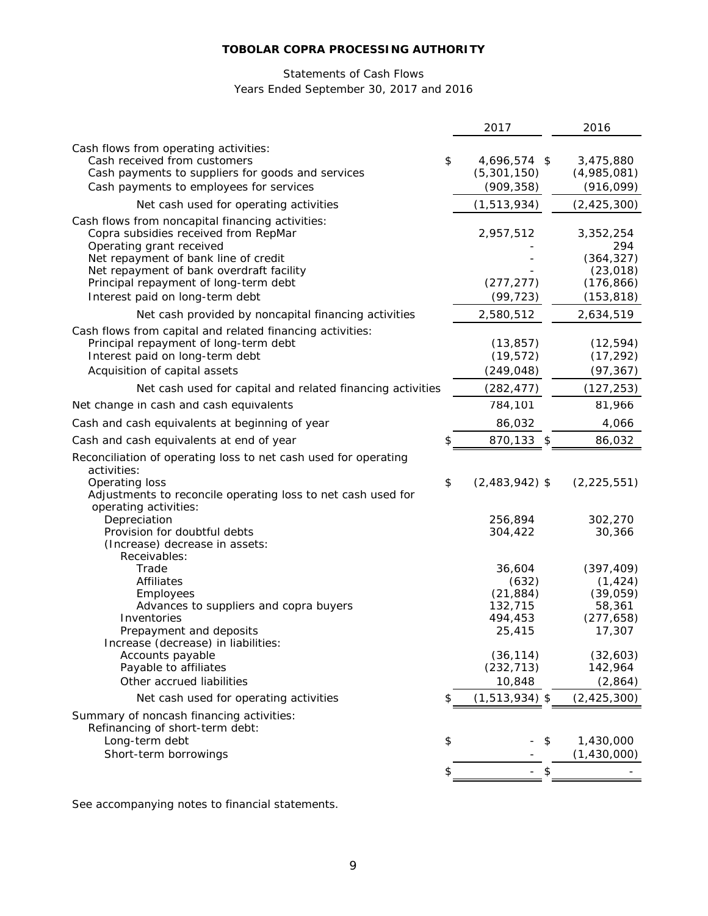# Statements of Cash Flows Years Ended September 30, 2017 and 2016

|                                                                                                                                                                        |    | 2017                                                         |               | 2016                                                                 |
|------------------------------------------------------------------------------------------------------------------------------------------------------------------------|----|--------------------------------------------------------------|---------------|----------------------------------------------------------------------|
| Cash flows from operating activities:<br>Cash received from customers<br>Cash payments to suppliers for goods and services<br>Cash payments to employees for services  | \$ | 4,696,574 \$<br>(5, 301, 150)<br>(909, 358)                  |               | 3,475,880<br>(4,985,081)<br>(916, 099)                               |
| Net cash used for operating activities                                                                                                                                 |    | (1,513,934)                                                  |               | (2, 425, 300)                                                        |
| Cash flows from noncapital financing activities:<br>Copra subsidies received from RepMar<br>Operating grant received                                                   |    | 2,957,512                                                    |               | 3,352,254<br>294                                                     |
| Net repayment of bank line of credit<br>Net repayment of bank overdraft facility<br>Principal repayment of long-term debt<br>Interest paid on long-term debt           |    | (277, 277)<br>(99, 723)                                      |               | (364, 327)<br>(23, 018)<br>(176, 866)<br>(153, 818)                  |
| Net cash provided by noncapital financing activities                                                                                                                   |    | 2,580,512                                                    |               | 2,634,519                                                            |
| Cash flows from capital and related financing activities:<br>Principal repayment of long-term debt<br>Interest paid on long-term debt<br>Acquisition of capital assets |    | (13, 857)<br>(19, 572)<br>(249, 048)                         |               | (12, 594)<br>(17, 292)<br>(97, 367)                                  |
| Net cash used for capital and related financing activities                                                                                                             |    | (282, 477)                                                   |               | (127, 253)                                                           |
| Net change in cash and cash equivalents                                                                                                                                |    | 784,101                                                      |               | 81,966                                                               |
| Cash and cash equivalents at beginning of year                                                                                                                         |    | 86,032                                                       |               | 4,066                                                                |
| Cash and cash equivalents at end of year                                                                                                                               | \$ | 870,133 \$                                                   |               | 86,032                                                               |
| Reconciliation of operating loss to net cash used for operating<br>activities:<br>Operating loss<br>Adjustments to reconcile operating loss to net cash used for       | \$ | $(2,483,942)$ \$                                             |               | (2, 225, 551)                                                        |
| operating activities:<br>Depreciation<br>Provision for doubtful debts<br>(Increase) decrease in assets:<br>Receivables:                                                |    | 256,894<br>304,422                                           |               | 302,270<br>30,366                                                    |
| Trade<br>Affiliates<br>Employees<br>Advances to suppliers and copra buyers<br>Inventories<br>Prepayment and deposits<br>Increase (decrease) in liabilities:            |    | 36,604<br>(632)<br>(21, 884)<br>132,715<br>494,453<br>25,415 |               | (397, 409)<br>(1, 424)<br>(39,059)<br>58,361<br>(277, 658)<br>17,307 |
| Accounts payable<br>Payable to affiliates<br>Other accrued liabilities                                                                                                 |    | (36, 114)<br>(232, 713)<br>10,848                            |               | (32,603)<br>142,964<br>(2,864)                                       |
| Net cash used for operating activities                                                                                                                                 | S  | $(1, 513, 934)$ \$                                           |               | (2, 425, 300)                                                        |
| Summary of noncash financing activities:<br>Refinancing of short-term debt:<br>Long-term debt<br>Short-term borrowings                                                 | \$ |                                                              | $\frac{1}{2}$ | 1,430,000<br>(1,430,000)                                             |
|                                                                                                                                                                        | \$ | $-$ \$                                                       |               |                                                                      |
|                                                                                                                                                                        |    |                                                              |               |                                                                      |

See accompanying notes to financial statements.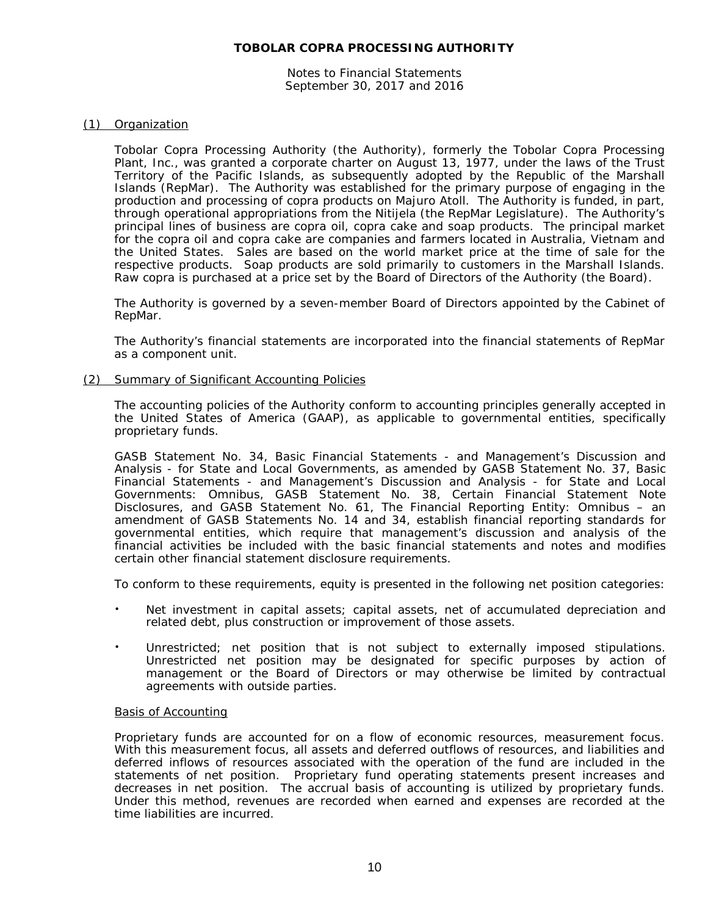Notes to Financial Statements September 30, 2017 and 2016

#### (1) Organization

Tobolar Copra Processing Authority (the Authority), formerly the Tobolar Copra Processing Plant, Inc., was granted a corporate charter on August 13, 1977, under the laws of the Trust Territory of the Pacific Islands, as subsequently adopted by the Republic of the Marshall Islands (RepMar). The Authority was established for the primary purpose of engaging in the production and processing of copra products on Majuro Atoll. The Authority is funded, in part, through operational appropriations from the Nitijela (the RepMar Legislature). The Authority's principal lines of business are copra oil, copra cake and soap products. The principal market for the copra oil and copra cake are companies and farmers located in Australia, Vietnam and the United States. Sales are based on the world market price at the time of sale for the respective products. Soap products are sold primarily to customers in the Marshall Islands. Raw copra is purchased at a price set by the Board of Directors of the Authority (the Board).

The Authority is governed by a seven-member Board of Directors appointed by the Cabinet of RepMar.

The Authority's financial statements are incorporated into the financial statements of RepMar as a component unit.

#### (2) Summary of Significant Accounting Policies

The accounting policies of the Authority conform to accounting principles generally accepted in the United States of America (GAAP), as applicable to governmental entities, specifically proprietary funds.

GASB Statement No. 34, *Basic Financial Statements - and Management's Discussion and Analysis - for State and Local Governments*, as amended by GASB Statement No. 37, *Basic Financial Statements - and Management's Discussion and Analysis - for State and Local Governments: Omnibus*, GASB Statement No. 38, *Certain Financial Statement Note Disclosures*, and GASB Statement No. 61, *The Financial Reporting Entity: Omnibus – an amendment of GASB Statements No. 14 and 34,* establish financial reporting standards for governmental entities, which require that management's discussion and analysis of the financial activities be included with the basic financial statements and notes and modifies certain other financial statement disclosure requirements.

To conform to these requirements, equity is presented in the following net position categories:

- Net investment in capital assets; capital assets, net of accumulated depreciation and related debt, plus construction or improvement of those assets.
- Unrestricted; net position that is not subject to externally imposed stipulations. Unrestricted net position may be designated for specific purposes by action of management or the Board of Directors or may otherwise be limited by contractual agreements with outside parties.

#### Basis of Accounting

Proprietary funds are accounted for on a flow of economic resources, measurement focus. With this measurement focus, all assets and deferred outflows of resources, and liabilities and deferred inflows of resources associated with the operation of the fund are included in the statements of net position. Proprietary fund operating statements present increases and decreases in net position. The accrual basis of accounting is utilized by proprietary funds. Under this method, revenues are recorded when earned and expenses are recorded at the time liabilities are incurred.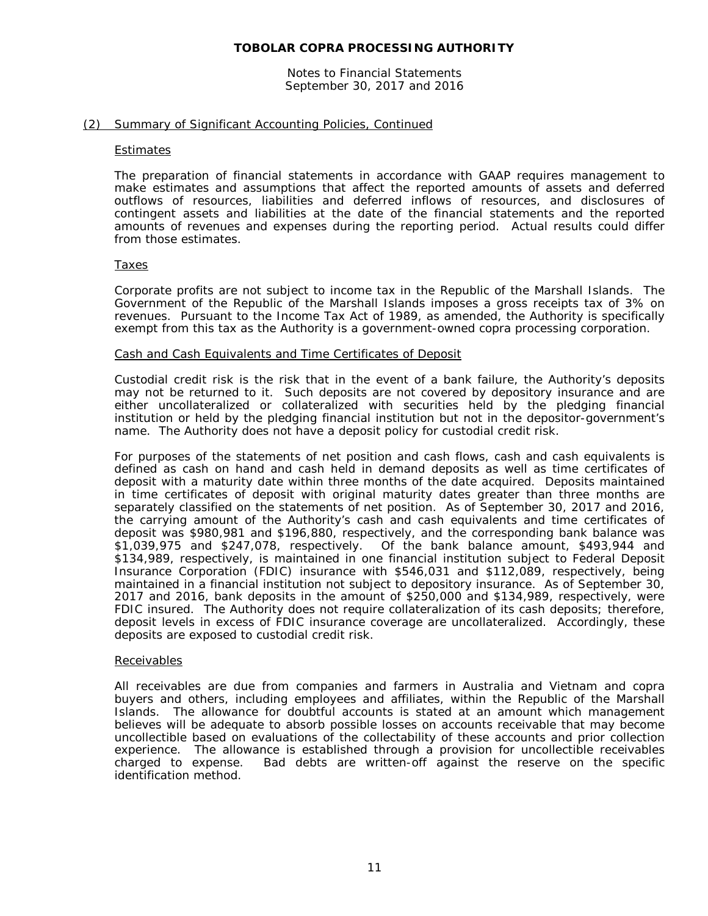Notes to Financial Statements September 30, 2017 and 2016

#### (2) Summary of Significant Accounting Policies, Continued

#### **Estimates**

The preparation of financial statements in accordance with GAAP requires management to make estimates and assumptions that affect the reported amounts of assets and deferred outflows of resources, liabilities and deferred inflows of resources, and disclosures of contingent assets and liabilities at the date of the financial statements and the reported amounts of revenues and expenses during the reporting period. Actual results could differ from those estimates.

#### Taxes

Corporate profits are not subject to income tax in the Republic of the Marshall Islands. The Government of the Republic of the Marshall Islands imposes a gross receipts tax of 3% on revenues. Pursuant to the Income Tax Act of 1989, as amended, the Authority is specifically exempt from this tax as the Authority is a government-owned copra processing corporation.

#### Cash and Cash Equivalents and Time Certificates of Deposit

Custodial credit risk is the risk that in the event of a bank failure, the Authority's deposits may not be returned to it. Such deposits are not covered by depository insurance and are either uncollateralized or collateralized with securities held by the pledging financial institution or held by the pledging financial institution but not in the depositor-government's name. The Authority does not have a deposit policy for custodial credit risk.

For purposes of the statements of net position and cash flows, cash and cash equivalents is defined as cash on hand and cash held in demand deposits as well as time certificates of deposit with a maturity date within three months of the date acquired. Deposits maintained in time certificates of deposit with original maturity dates greater than three months are separately classified on the statements of net position. As of September 30, 2017 and 2016, the carrying amount of the Authority's cash and cash equivalents and time certificates of deposit was \$980,981 and \$196,880, respectively, and the corresponding bank balance was \$1,039,975 and \$247,078, respectively. Of the bank balance amount, \$493,944 and \$134,989, respectively, is maintained in one financial institution subject to Federal Deposit Insurance Corporation (FDIC) insurance with \$546,031 and \$112,089, respectively, being maintained in a financial institution not subject to depository insurance. As of September 30, 2017 and 2016, bank deposits in the amount of \$250,000 and \$134,989, respectively, were FDIC insured. The Authority does not require collateralization of its cash deposits; therefore, deposit levels in excess of FDIC insurance coverage are uncollateralized. Accordingly, these deposits are exposed to custodial credit risk.

#### Receivables

All receivables are due from companies and farmers in Australia and Vietnam and copra buyers and others, including employees and affiliates, within the Republic of the Marshall Islands. The allowance for doubtful accounts is stated at an amount which management believes will be adequate to absorb possible losses on accounts receivable that may become uncollectible based on evaluations of the collectability of these accounts and prior collection experience. The allowance is established through a provision for uncollectible receivables charged to expense. Bad debts are written-off against the reserve on the specific Bad debts are written-off against the reserve on the specific identification method.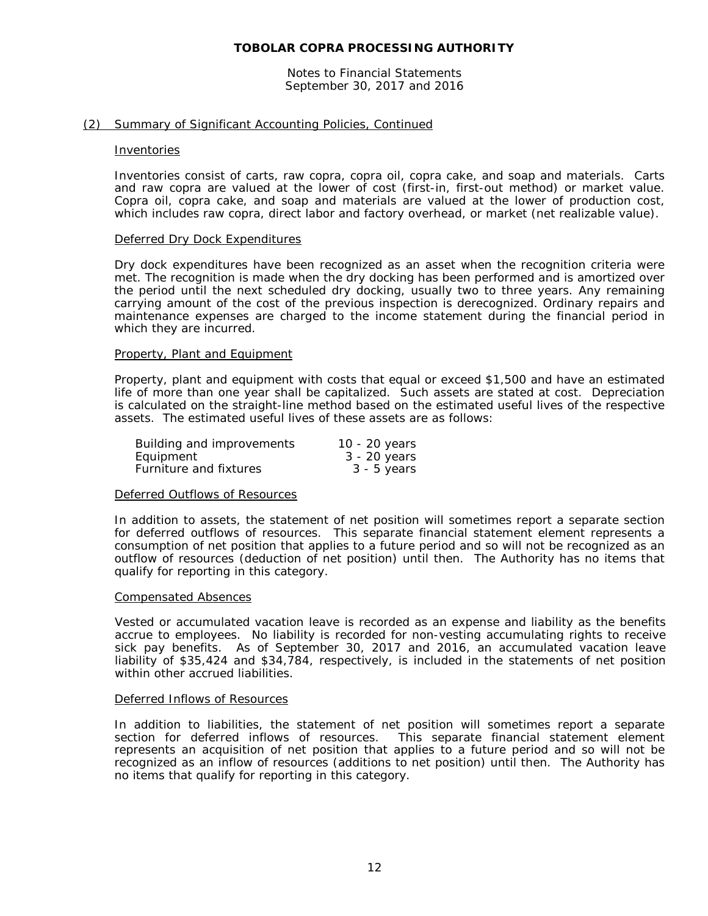Notes to Financial Statements September 30, 2017 and 2016

#### (2) Summary of Significant Accounting Policies, Continued

#### **Inventories**

Inventories consist of carts, raw copra, copra oil, copra cake, and soap and materials. Carts and raw copra are valued at the lower of cost (first-in, first-out method) or market value. Copra oil, copra cake, and soap and materials are valued at the lower of production cost, which includes raw copra, direct labor and factory overhead, or market (net realizable value).

#### Deferred Dry Dock Expenditures

Dry dock expenditures have been recognized as an asset when the recognition criteria were met. The recognition is made when the dry docking has been performed and is amortized over the period until the next scheduled dry docking, usually two to three years. Any remaining carrying amount of the cost of the previous inspection is derecognized. Ordinary repairs and maintenance expenses are charged to the income statement during the financial period in which they are incurred.

#### Property, Plant and Equipment

Property, plant and equipment with costs that equal or exceed \$1,500 and have an estimated life of more than one year shall be capitalized. Such assets are stated at cost. Depreciation is calculated on the straight-line method based on the estimated useful lives of the respective assets. The estimated useful lives of these assets are as follows:

| Building and improvements | 10 - 20 years |
|---------------------------|---------------|
| Equipment                 | 3 - 20 years  |
| Furniture and fixtures    | 3 - 5 years   |

#### Deferred Outflows of Resources

In addition to assets, the statement of net position will sometimes report a separate section for deferred outflows of resources. This separate financial statement element represents a consumption of net position that applies to a future period and so will not be recognized as an outflow of resources (deduction of net position) until then. The Authority has no items that qualify for reporting in this category.

#### Compensated Absences

Vested or accumulated vacation leave is recorded as an expense and liability as the benefits accrue to employees. No liability is recorded for non-vesting accumulating rights to receive sick pay benefits. As of September 30, 2017 and 2016, an accumulated vacation leave liability of \$35,424 and \$34,784, respectively, is included in the statements of net position within other accrued liabilities.

#### Deferred Inflows of Resources

In addition to liabilities, the statement of net position will sometimes report a separate section for deferred inflows of resources. This separate financial statement element section for deferred inflows of resources. represents an acquisition of net position that applies to a future period and so will not be recognized as an inflow of resources (additions to net position) until then. The Authority has no items that qualify for reporting in this category.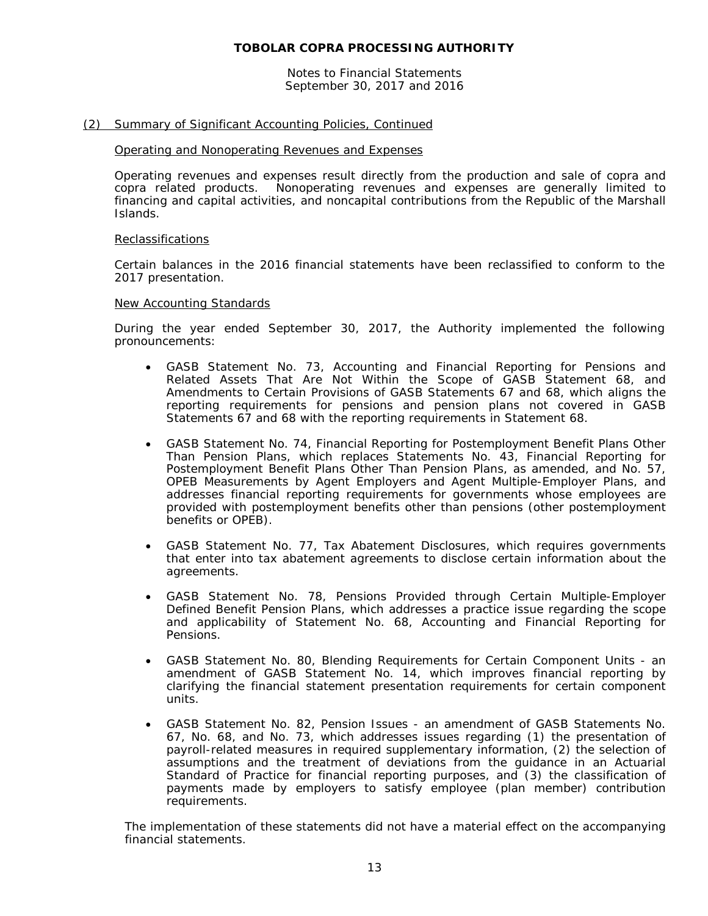Notes to Financial Statements September 30, 2017 and 2016

#### (2) Summary of Significant Accounting Policies, Continued

#### Operating and Nonoperating Revenues and Expenses

Operating revenues and expenses result directly from the production and sale of copra and copra related products. Nonoperating revenues and expenses are generally limited to financing and capital activities, and noncapital contributions from the Republic of the Marshall Islands.

#### **Reclassifications**

Certain balances in the 2016 financial statements have been reclassified to conform to the 2017 presentation.

#### New Accounting Standards

During the year ended September 30, 2017, the Authority implemented the following pronouncements:

- GASB Statement No. 73, *Accounting and Financial Reporting for Pensions and Related Assets That Are Not Within the Scope of GASB Statement 68, and Amendments to Certain Provisions of GASB Statements 67 and 68*, which aligns the reporting requirements for pensions and pension plans not covered in GASB Statements 67 and 68 with the reporting requirements in Statement 68.
- GASB Statement No. 74, *Financial Reporting for Postemployment Benefit Plans Other Than Pension Plans*, which replaces Statements No. 43, *Financial Reporting for Postemployment Benefit Plans Other Than Pension Plans, as amended,* and No. 57, *OPEB Measurements by Agent Employers and Agent Multiple-Employer Plans*, and addresses financial reporting requirements for governments whose employees are provided with postemployment benefits other than pensions (other postemployment benefits or OPEB).
- GASB Statement No. 77, *Tax Abatement Disclosures*, which requires governments that enter into tax abatement agreements to disclose certain information about the agreements.
- GASB Statement No. 78, *Pensions Provided through Certain Multiple-Employer Defined Benefit Pension Plans*, which addresses a practice issue regarding the scope and applicability of Statement No. 68, *Accounting and Financial Reporting for Pensions*.
- GASB Statement No. 80, *Blending Requirements for Certain Component Units - an amendment of GASB Statement No. 14*, which improves financial reporting by clarifying the financial statement presentation requirements for certain component units.
- GASB Statement No. 82, *Pension Issues - an amendment of GASB Statements No. 67, No. 68, and No. 73*, which addresses issues regarding (1) the presentation of payroll-related measures in required supplementary information, (2) the selection of assumptions and the treatment of deviations from the guidance in an Actuarial Standard of Practice for financial reporting purposes, and (3) the classification of payments made by employers to satisfy employee (plan member) contribution requirements.

The implementation of these statements did not have a material effect on the accompanying financial statements.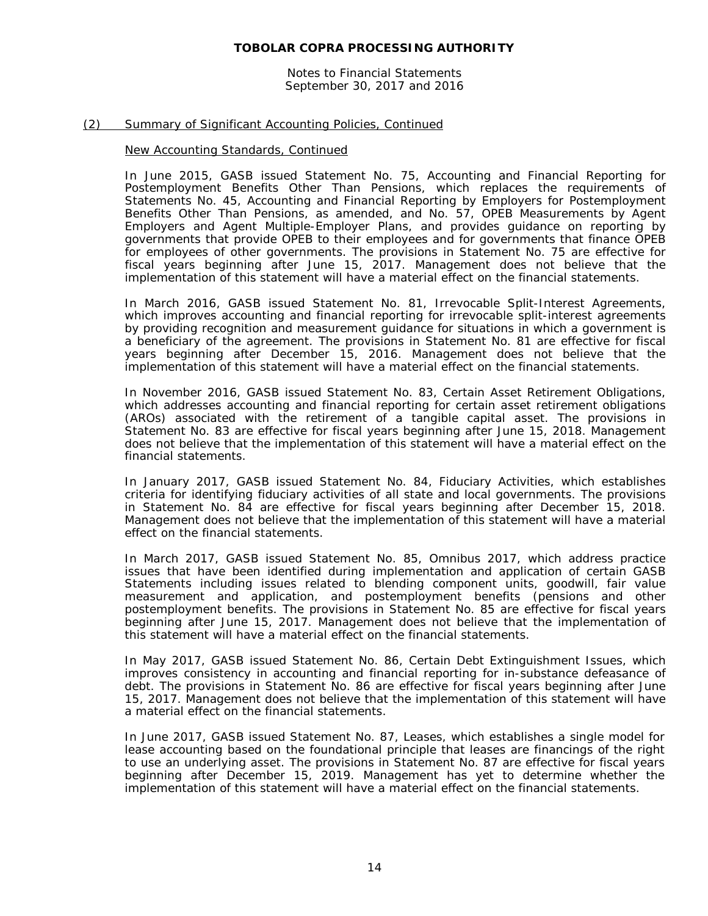Notes to Financial Statements September 30, 2017 and 2016

#### (2) Summary of Significant Accounting Policies, Continued

#### New Accounting Standards, Continued

In June 2015, GASB issued Statement No. 75, *Accounting and Financial Reporting for Postemployment Benefits Other Than Pensions*, which replaces the requirements of Statements No. 45, *Accounting and Financial Reporting by Employers for Postemployment Benefits Other Than Pensions*, as amended, and No. 57, *OPEB Measurements by Agent Employers and Agent Multiple-Employer Plans*, and provides guidance on reporting by governments that provide OPEB to their employees and for governments that finance OPEB for employees of other governments. The provisions in Statement No. 75 are effective for fiscal years beginning after June 15, 2017. Management does not believe that the implementation of this statement will have a material effect on the financial statements.

In March 2016, GASB issued Statement No. 81, *Irrevocable Split-Interest Agreements,*  which improves accounting and financial reporting for irrevocable split-interest agreements by providing recognition and measurement guidance for situations in which a government is a beneficiary of the agreement. The provisions in Statement No. 81 are effective for fiscal years beginning after December 15, 2016. Management does not believe that the implementation of this statement will have a material effect on the financial statements.

In November 2016, GASB issued Statement No. 83, *Certain Asset Retirement Obligations*, which addresses accounting and financial reporting for certain asset retirement obligations (AROs) associated with the retirement of a tangible capital asset. The provisions in Statement No. 83 are effective for fiscal years beginning after June 15, 2018. Management does not believe that the implementation of this statement will have a material effect on the financial statements.

In January 2017, GASB issued Statement No. 84, *Fiduciary Activities*, which establishes criteria for identifying fiduciary activities of all state and local governments. The provisions in Statement No. 84 are effective for fiscal years beginning after December 15, 2018. Management does not believe that the implementation of this statement will have a material effect on the financial statements.

In March 2017, GASB issued Statement No. 85, *Omnibus 2017*, which address practice issues that have been identified during implementation and application of certain GASB Statements including issues related to blending component units, goodwill, fair value measurement and application, and postemployment benefits (pensions and other postemployment benefits. The provisions in Statement No. 85 are effective for fiscal years beginning after June 15, 2017. Management does not believe that the implementation of this statement will have a material effect on the financial statements.

In May 2017, GASB issued Statement No. 86, *Certain Debt Extinguishment Issues*, which improves consistency in accounting and financial reporting for in-substance defeasance of debt. The provisions in Statement No. 86 are effective for fiscal years beginning after June 15, 2017. Management does not believe that the implementation of this statement will have a material effect on the financial statements.

In June 2017, GASB issued Statement No. 87, *Leases*, which establishes a single model for lease accounting based on the foundational principle that leases are financings of the right to use an underlying asset. The provisions in Statement No. 87 are effective for fiscal years beginning after December 15, 2019. Management has yet to determine whether the implementation of this statement will have a material effect on the financial statements.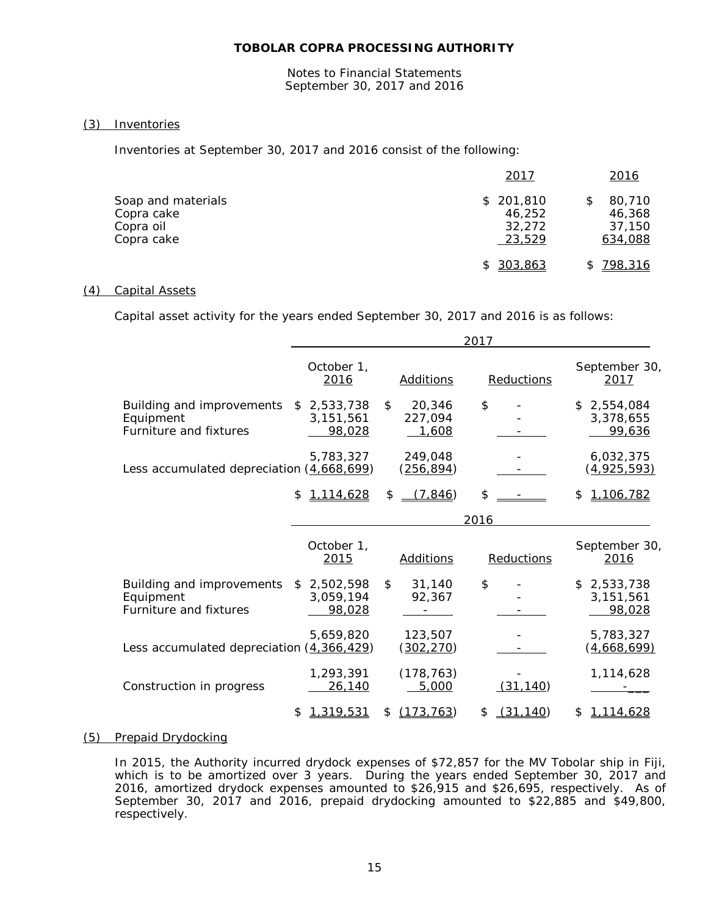Notes to Financial Statements September 30, 2017 and 2016

#### (3) Inventories

Inventories at September 30, 2017 and 2016 consist of the following:

|                    | 2017      | 2016           |
|--------------------|-----------|----------------|
| Soap and materials | \$201,810 | 80,710         |
| Copra cake         | 46.252    | 46,368         |
| Copra oil          | 32.272    | 37,150         |
| Copra cake         | 23,529    | 634,088        |
|                    | \$303,863 | <u>798,316</u> |

#### (4) Capital Assets

Capital asset activity for the years ended September 30, 2017 and 2016 is as follows:

|                                                                  | 2017                                    |                                  |                 |                                    |  |  |
|------------------------------------------------------------------|-----------------------------------------|----------------------------------|-----------------|------------------------------------|--|--|
|                                                                  | October 1,<br>2016                      | <b>Additions</b>                 | Reductions      | September 30,<br>2017              |  |  |
| Building and improvements<br>Equipment<br>Furniture and fixtures | 2,533,738<br>\$.<br>3,151,561<br>98,028 | \$<br>20,346<br>227,094<br>1,608 | \$              | \$2,554,084<br>3,378,655<br>99,636 |  |  |
| Less accumulated depreciation $(4,668,699)$                      | 5,783,327                               | 249,048<br><u>(256,894</u> )     |                 | 6,032,375<br><u>(4,925,593)</u>    |  |  |
|                                                                  | 1,114,628<br>\$                         | \$<br>(7,846)                    | \$              | 1,106,782<br>\$                    |  |  |
|                                                                  |                                         |                                  | 2016            |                                    |  |  |
|                                                                  | October 1.<br>2015                      | <b>Additions</b>                 | Reductions      | September 30,<br>2016              |  |  |
| Building and improvements<br>Equipment<br>Furniture and fixtures | 2,502,598<br>\$<br>3,059,194<br>98,028  | 31,140<br>\$<br>92,367           | \$              | \$2,533,738<br>3,151,561<br>98,028 |  |  |
| Less accumulated depreciation (4,366,429)                        | 5,659,820                               | 123,507<br>(302, 270)            |                 | 5,783,327<br>(4,668,699)           |  |  |
| Construction in progress                                         | 1,293,391<br>26,140                     | (178, 763)<br>5,000              | (31, 140)       | 1,114,628                          |  |  |
|                                                                  | 1,319,531<br>\$                         | (173, 763)<br>S.                 | (31, 140)<br>\$ | 1,114,628<br>\$                    |  |  |

# (5) Prepaid Drydocking

In 2015, the Authority incurred drydock expenses of \$72,857 for the MV Tobolar ship in Fiji, which is to be amortized over 3 years. During the years ended September 30, 2017 and 2016, amortized drydock expenses amounted to \$26,915 and \$26,695, respectively. As of September 30, 2017 and 2016, prepaid drydocking amounted to \$22,885 and \$49,800, respectively.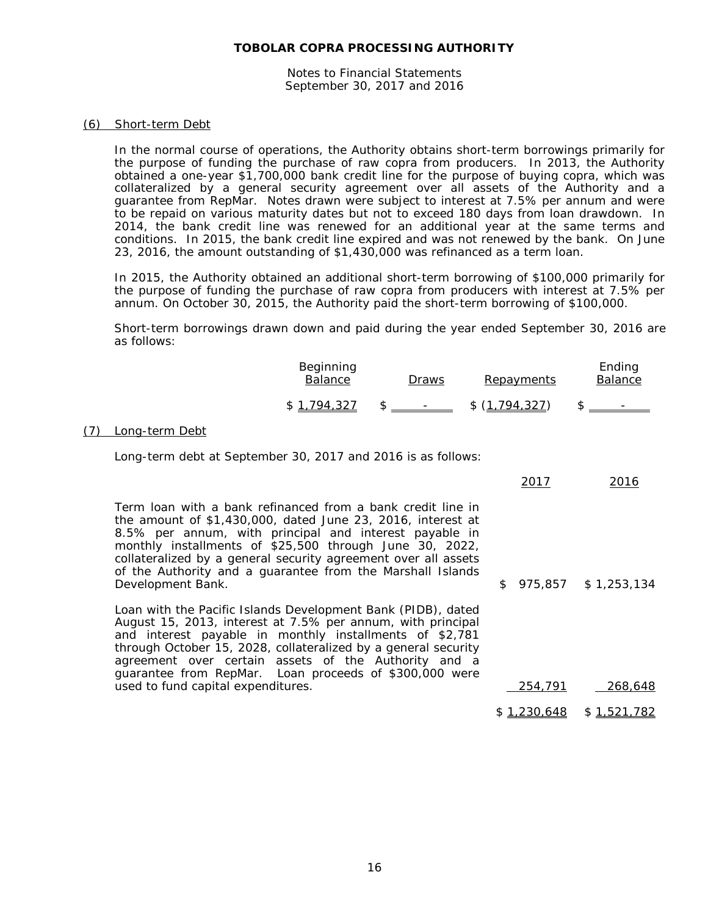Notes to Financial Statements September 30, 2017 and 2016

#### (6) Short-term Debt

In the normal course of operations, the Authority obtains short-term borrowings primarily for the purpose of funding the purchase of raw copra from producers. In 2013, the Authority obtained a one-year \$1,700,000 bank credit line for the purpose of buying copra, which was collateralized by a general security agreement over all assets of the Authority and a guarantee from RepMar. Notes drawn were subject to interest at 7.5% per annum and were to be repaid on various maturity dates but not to exceed 180 days from loan drawdown. In 2014, the bank credit line was renewed for an additional year at the same terms and conditions. In 2015, the bank credit line expired and was not renewed by the bank. On June 23, 2016, the amount outstanding of \$1,430,000 was refinanced as a term loan.

In 2015, the Authority obtained an additional short-term borrowing of \$100,000 primarily for the purpose of funding the purchase of raw copra from producers with interest at 7.5% per annum. On October 30, 2015, the Authority paid the short-term borrowing of \$100,000.

Short-term borrowings drawn down and paid during the year ended September 30, 2016 are as follows:

|     |                                                                                                                                                                                                                                                                                                                                                                                                        | Beginning<br><b>Balance</b> | <b>Draws</b>         | <b>Repayments</b> | Ending<br><b>Balance</b> |
|-----|--------------------------------------------------------------------------------------------------------------------------------------------------------------------------------------------------------------------------------------------------------------------------------------------------------------------------------------------------------------------------------------------------------|-----------------------------|----------------------|-------------------|--------------------------|
|     |                                                                                                                                                                                                                                                                                                                                                                                                        | \$1,794,327                 | $\frac{1}{\sqrt{2}}$ | \$ (1, 794, 327)  |                          |
| (7) | Long-term Debt                                                                                                                                                                                                                                                                                                                                                                                         |                             |                      |                   |                          |
|     | Long-term debt at September 30, 2017 and 2016 is as follows:                                                                                                                                                                                                                                                                                                                                           |                             |                      |                   |                          |
|     |                                                                                                                                                                                                                                                                                                                                                                                                        |                             |                      | <u> 2017 </u>     | <u> 2016</u>             |
|     | Term loan with a bank refinanced from a bank credit line in<br>the amount of $$1,430,000$ , dated June 23, 2016, interest at<br>8.5% per annum, with principal and interest payable in<br>monthly installments of \$25,500 through June 30, 2022,<br>collateralized by a general security agreement over all assets<br>of the Authority and a guarantee from the Marshall Islands<br>Development Bank. |                             |                      | 975,857<br>\$     | \$1,253,134              |
|     | Loan with the Pacific Islands Development Bank (PIDB), dated<br>August 15, 2013, interest at 7.5% per annum, with principal<br>and interest payable in monthly installments of \$2,781<br>through October 15, 2028, collateralized by a general security<br>agreement over certain assets of the Authority and a<br>guarantee from RepMar. Loan proceeds of \$300,000 were                             |                             |                      |                   |                          |
|     | used to fund capital expenditures.                                                                                                                                                                                                                                                                                                                                                                     |                             |                      | <u>254,791</u>    | 268,648                  |
|     |                                                                                                                                                                                                                                                                                                                                                                                                        |                             |                      | \$1,230,648       | \$1,521,782              |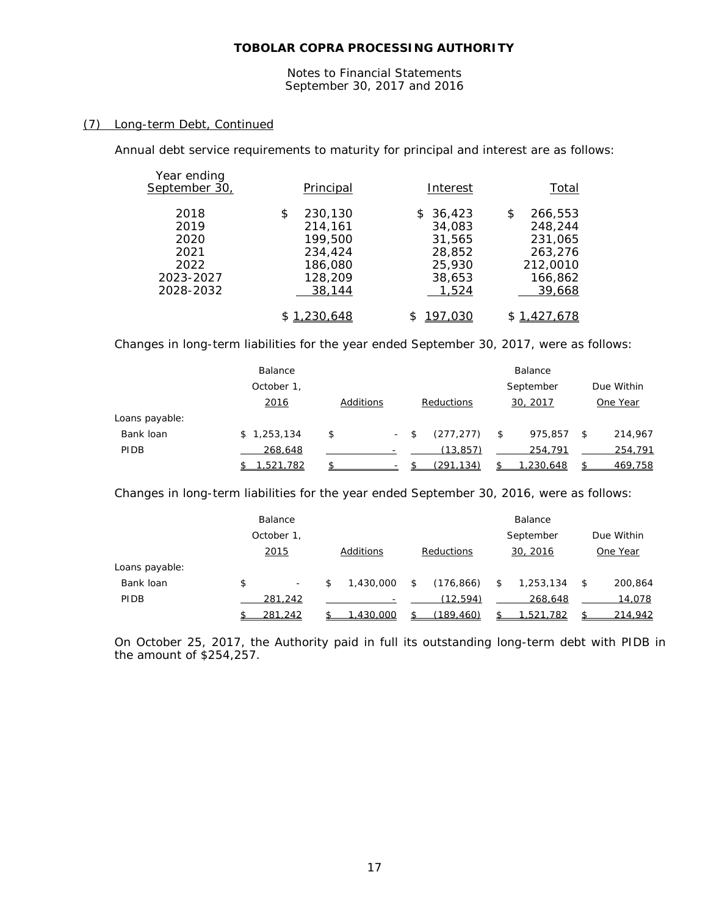Notes to Financial Statements September 30, 2017 and 2016

### (7) Long-term Debt, Continued

Annual debt service requirements to maturity for principal and interest are as follows:

| Year ending<br>September 30, | <u>Principal</u> | Interest | Total         |
|------------------------------|------------------|----------|---------------|
| 2018                         | \$<br>230,130    | \$36,423 | \$<br>266,553 |
| 2019                         | 214,161          | 34,083   | 248.244       |
| 2020                         | 199,500          | 31,565   | 231,065       |
| 2021                         | 234,424          | 28,852   | 263.276       |
| 2022                         | 186,080          | 25,930   | 212,0010      |
| 2023-2027                    | 128,209          | 38,653   | 166,862       |
| 2028-2032                    | 38,144           | 1,524    | 39,668        |
|                              | 1,230,648        |          |               |

Changes in long-term liabilities for the year ended September 30, 2017, were as follows:

|                | Balance     |              |                   | Balance       |               |
|----------------|-------------|--------------|-------------------|---------------|---------------|
|                | October 1,  |              |                   | September     | Due Within    |
|                | <u>2016</u> | Additions    | <b>Reductions</b> | 30, 2017      | One Year      |
| Loans payable: |             |              |                   |               |               |
| Bank loan      | \$1,253,134 | \$<br>$\sim$ | (277, 277)<br>-\$ | 975.857<br>\$ | 214,967<br>\$ |
| PIDB           | 268,648     |              | (13,857)          | 254,791       | 254,791       |
|                | .521.782    |              | (291.134)         | 1,230,648     | 469.758       |

Changes in long-term liabilities for the year ended September 30, 2016, were as follows:

|                | Balance                        |                 |                  | Balance         |               |
|----------------|--------------------------------|-----------------|------------------|-----------------|---------------|
|                | October 1,                     |                 |                  | September       | Due Within    |
|                | 2015                           | Additions       | Reductions       | 30, 2016        | One Year      |
| Loans payable: |                                |                 |                  |                 |               |
| Bank loan      | \$<br>$\overline{\phantom{a}}$ | \$<br>1,430,000 | \$<br>(176, 866) | \$<br>1,253,134 | \$<br>200,864 |
| PIDB           | 281,242                        |                 | (12.594)         | 268,648         | 14,078        |
|                | 281.242                        | 1,430,000       | (189.460)        | .521.782        | 214.942       |

On October 25, 2017, the Authority paid in full its outstanding long-term debt with PIDB in the amount of \$254,257.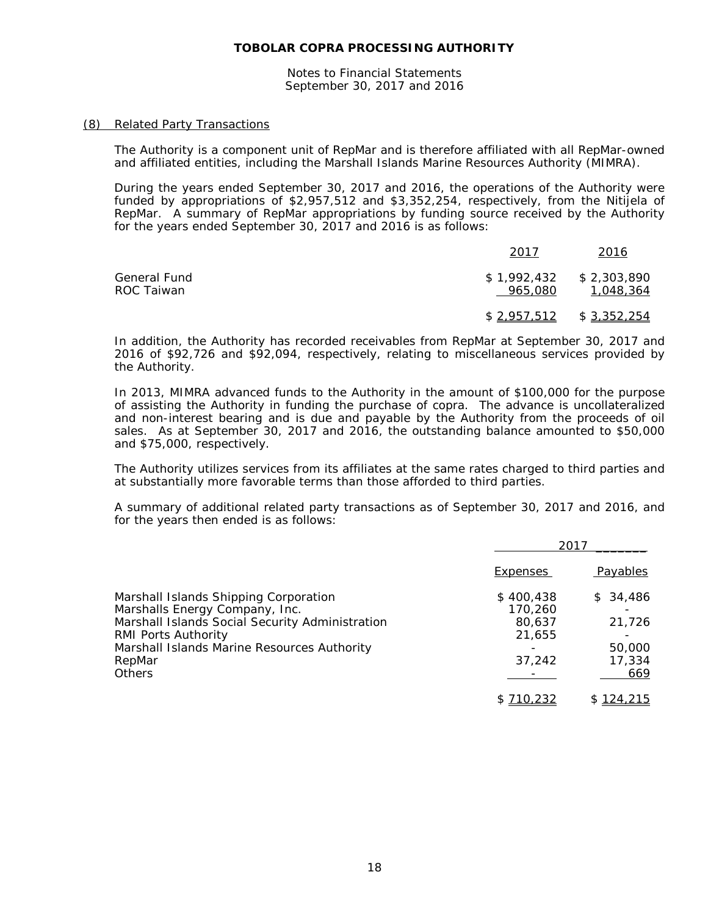Notes to Financial Statements September 30, 2017 and 2016

#### (8) Related Party Transactions

The Authority is a component unit of RepMar and is therefore affiliated with all RepMar-owned and affiliated entities, including the Marshall Islands Marine Resources Authority (MIMRA).

During the years ended September 30, 2017 and 2016, the operations of the Authority were funded by appropriations of \$2,957,512 and \$3,352,254, respectively, from the Nitijela of RepMar. A summary of RepMar appropriations by funding source received by the Authority for the years ended September 30, 2017 and 2016 is as follows:

|                            | 2017                   | 2016                     |
|----------------------------|------------------------|--------------------------|
| General Fund<br>ROC Taiwan | \$1,992,432<br>965,080 | \$2,303,890<br>1,048,364 |
|                            | \$2.957.512            | \$3,352,254              |

In addition, the Authority has recorded receivables from RepMar at September 30, 2017 and 2016 of \$92,726 and \$92,094, respectively, relating to miscellaneous services provided by the Authority.

In 2013, MIMRA advanced funds to the Authority in the amount of \$100,000 for the purpose of assisting the Authority in funding the purchase of copra. The advance is uncollateralized and non-interest bearing and is due and payable by the Authority from the proceeds of oil sales. As at September 30, 2017 and 2016, the outstanding balance amounted to \$50,000 and \$75,000, respectively.

The Authority utilizes services from its affiliates at the same rates charged to third parties and at substantially more favorable terms than those afforded to third parties.

A summary of additional related party transactions as of September 30, 2017 and 2016, and for the years then ended is as follows:

|                                                                                                                                                                                                                                    | 2017                                               |                                               |
|------------------------------------------------------------------------------------------------------------------------------------------------------------------------------------------------------------------------------------|----------------------------------------------------|-----------------------------------------------|
|                                                                                                                                                                                                                                    | <b>Expenses</b>                                    | Payables                                      |
| Marshall Islands Shipping Corporation<br>Marshalls Energy Company, Inc.<br>Marshall Islands Social Security Administration<br><b>RMI Ports Authority</b><br>Marshall Islands Marine Resources Authority<br>RepMar<br><b>Others</b> | \$400,438<br>170,260<br>80,637<br>21,655<br>37,242 | \$34.486<br>21,726<br>50,000<br>17,334<br>669 |
|                                                                                                                                                                                                                                    | \$710,232                                          | \$124,215                                     |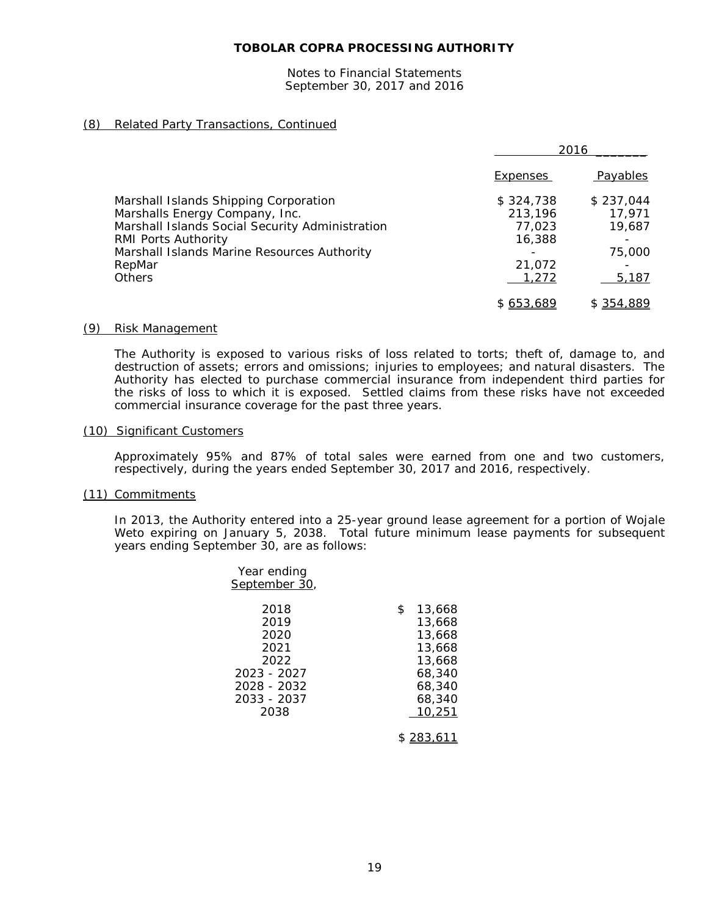Notes to Financial Statements September 30, 2017 and 2016

#### (8) Related Party Transactions, Continued

|                                                                                                                                                                                                                                    | 2016                                                        |                                                  |
|------------------------------------------------------------------------------------------------------------------------------------------------------------------------------------------------------------------------------------|-------------------------------------------------------------|--------------------------------------------------|
|                                                                                                                                                                                                                                    | <b>Expenses</b>                                             | Payables                                         |
| Marshall Islands Shipping Corporation<br>Marshalls Energy Company, Inc.<br>Marshall Islands Social Security Administration<br><b>RMI Ports Authority</b><br>Marshall Islands Marine Resources Authority<br>RepMar<br><b>Others</b> | \$324,738<br>213,196<br>77,023<br>16,388<br>21,072<br>1,272 | \$237,044<br>17,971<br>19,687<br>75,000<br>5,187 |
|                                                                                                                                                                                                                                    | \$653,689                                                   | \$ 354,889                                       |

#### (9) Risk Management

The Authority is exposed to various risks of loss related to torts; theft of, damage to, and destruction of assets; errors and omissions; injuries to employees; and natural disasters. The Authority has elected to purchase commercial insurance from independent third parties for the risks of loss to which it is exposed. Settled claims from these risks have not exceeded commercial insurance coverage for the past three years.

#### (10) Significant Customers

Approximately 95% and 87% of total sales were earned from one and two customers, respectively, during the years ended September 30, 2017 and 2016, respectively.

#### (11) Commitments

In 2013, the Authority entered into a 25-year ground lease agreement for a portion of Wojale Weto expiring on January 5, 2038. Total future minimum lease payments for subsequent years ending September 30, are as follows:

| Year ending<br>September 30,                                                              |                                                                                              |
|-------------------------------------------------------------------------------------------|----------------------------------------------------------------------------------------------|
| 2018<br>2019<br>2020<br>2021<br>2022<br>2023 - 2027<br>2028 - 2032<br>2033 - 2037<br>2038 | \$<br>13,668<br>13,668<br>13,668<br>13,668<br>13,668<br>68,340<br>68,340<br>68,340<br>10,251 |
|                                                                                           |                                                                                              |

\$ 283,611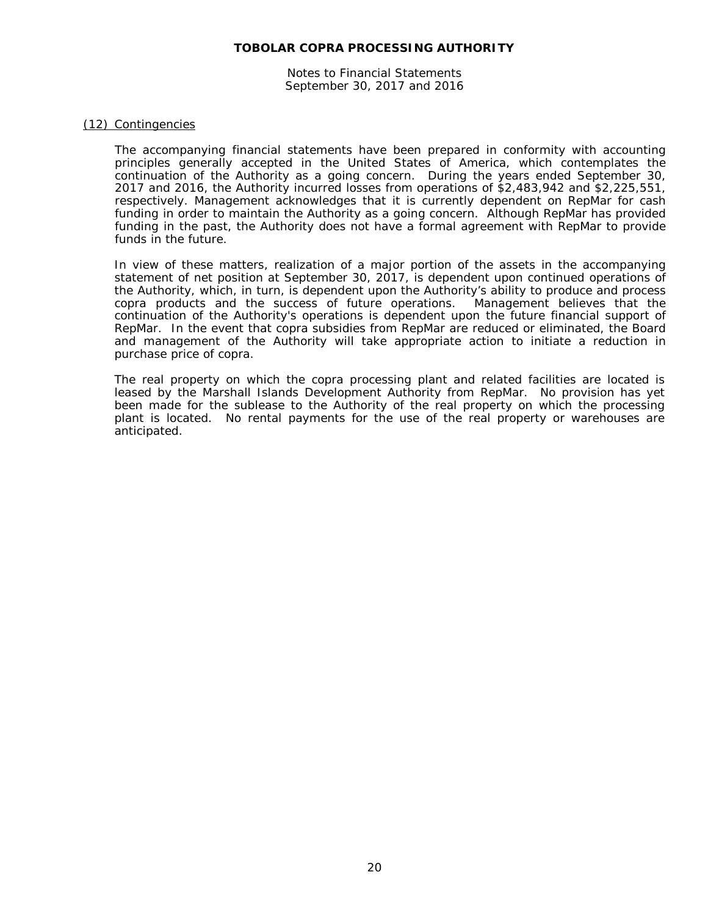Notes to Financial Statements September 30, 2017 and 2016

#### (12) Contingencies

The accompanying financial statements have been prepared in conformity with accounting principles generally accepted in the United States of America, which contemplates the continuation of the Authority as a going concern. During the years ended September 30, 2017 and 2016, the Authority incurred losses from operations of \$2,483,942 and \$2,225,551, respectively. Management acknowledges that it is currently dependent on RepMar for cash funding in order to maintain the Authority as a going concern. Although RepMar has provided funding in the past, the Authority does not have a formal agreement with RepMar to provide funds in the future.

In view of these matters, realization of a major portion of the assets in the accompanying statement of net position at September 30, 2017, is dependent upon continued operations of the Authority, which, in turn, is dependent upon the Authority's ability to produce and process copra products and the success of future operations. Management believes that the continuation of the Authority's operations is dependent upon the future financial support of RepMar. In the event that copra subsidies from RepMar are reduced or eliminated, the Board and management of the Authority will take appropriate action to initiate a reduction in purchase price of copra.

The real property on which the copra processing plant and related facilities are located is leased by the Marshall Islands Development Authority from RepMar. No provision has yet been made for the sublease to the Authority of the real property on which the processing plant is located. No rental payments for the use of the real property or warehouses are anticipated.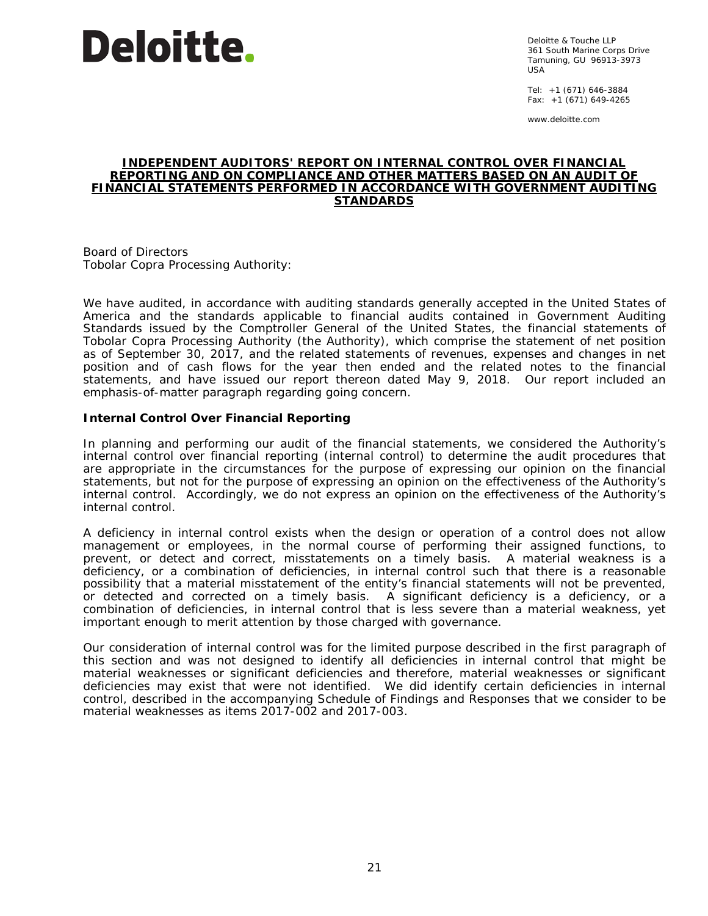

Deloitte & Touche LLP 361 South Marine Corps Drive Tamuning, GU 96913-3973 USA

Tel: +1 (671) 646-3884 Fax: +1 (671) 649-4265

www.deloitte.com

#### **INDEPENDENT AUDITORS' REPORT ON INTERNAL CONTROL OVER FINANCIAL REPORTING AND ON COMPLIANCE AND OTHER MATTERS BASED ON AN AUDIT OF FINANCIAL STATEMENTS PERFORMED IN ACCORDANCE WITH** *GOVERNMENT AUDITING STANDARDS*

Board of Directors Tobolar Copra Processing Authority:

We have audited, in accordance with auditing standards generally accepted in the United States of America and the standards applicable to financial audits contained in *Government Auditing Standards* issued by the Comptroller General of the United States, the financial statements of Tobolar Copra Processing Authority (the Authority), which comprise the statement of net position as of September 30, 2017, and the related statements of revenues, expenses and changes in net position and of cash flows for the year then ended and the related notes to the financial statements, and have issued our report thereon dated May 9, 2018. Our report included an emphasis-of-matter paragraph regarding going concern.

#### **Internal Control Over Financial Reporting**

In planning and performing our audit of the financial statements, we considered the Authority's internal control over financial reporting (internal control) to determine the audit procedures that are appropriate in the circumstances for the purpose of expressing our opinion on the financial statements, but not for the purpose of expressing an opinion on the effectiveness of the Authority's internal control. Accordingly, we do not express an opinion on the effectiveness of the Authority's internal control.

A *deficiency in internal control* exists when the design or operation of a control does not allow management or employees, in the normal course of performing their assigned functions, to prevent, or detect and correct, misstatements on a timely basis. A *material weakness* is a deficiency, or a combination of deficiencies, in internal control such that there is a reasonable possibility that a material misstatement of the entity's financial statements will not be prevented, or detected and corrected on a timely basis. A *significant deficiency* is a deficiency, or a combination of deficiencies, in internal control that is less severe than a material weakness, yet important enough to merit attention by those charged with governance.

Our consideration of internal control was for the limited purpose described in the first paragraph of this section and was not designed to identify all deficiencies in internal control that might be material weaknesses or significant deficiencies and therefore, material weaknesses or significant deficiencies may exist that were not identified. We did identify certain deficiencies in internal control, described in the accompanying Schedule of Findings and Responses that we consider to be material weaknesses as items 2017-002 and 2017-003.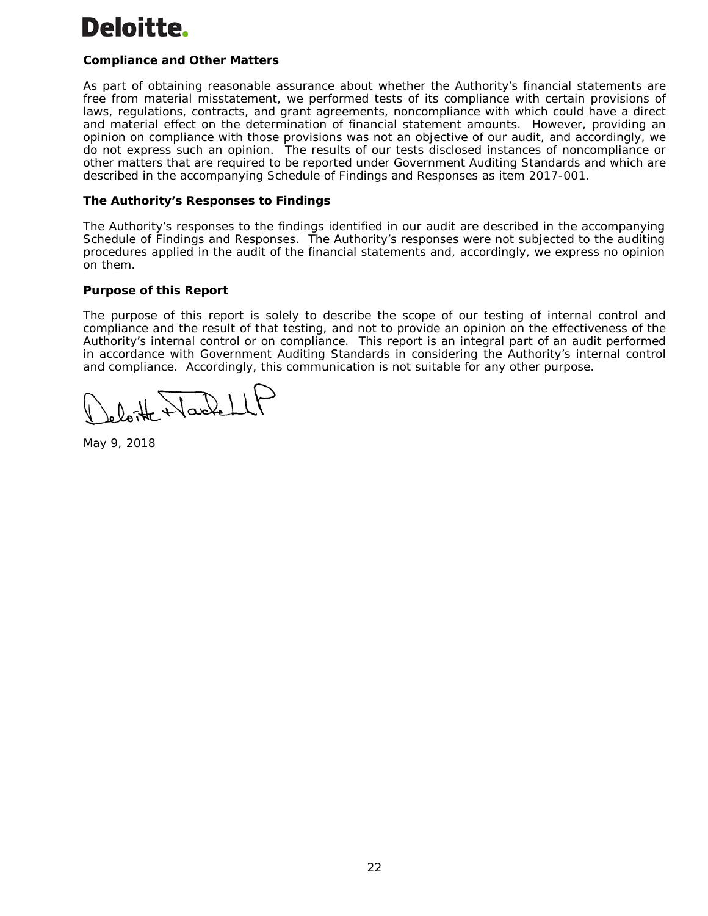# Deloitte.

# **Compliance and Other Matters**

As part of obtaining reasonable assurance about whether the Authority's financial statements are free from material misstatement, we performed tests of its compliance with certain provisions of laws, regulations, contracts, and grant agreements, noncompliance with which could have a direct and material effect on the determination of financial statement amounts. However, providing an opinion on compliance with those provisions was not an objective of our audit, and accordingly, we do not express such an opinion. The results of our tests disclosed instances of noncompliance or other matters that are required to be reported under *Government Auditing Standards* and which are described in the accompanying Schedule of Findings and Responses as item 2017-001.

# **The Authority's Responses to Findings**

The Authority's responses to the findings identified in our audit are described in the accompanying Schedule of Findings and Responses. The Authority's responses were not subjected to the auditing procedures applied in the audit of the financial statements and, accordingly, we express no opinion on them.

# **Purpose of this Report**

The purpose of this report is solely to describe the scope of our testing of internal control and compliance and the result of that testing, and not to provide an opinion on the effectiveness of the Authority's internal control or on compliance. This report is an integral part of an audit performed in accordance with *Government Auditing Standards* in considering the Authority's internal control and compliance. Accordingly, this communication is not suitable for any other purpose.

loite Washell

May 9, 2018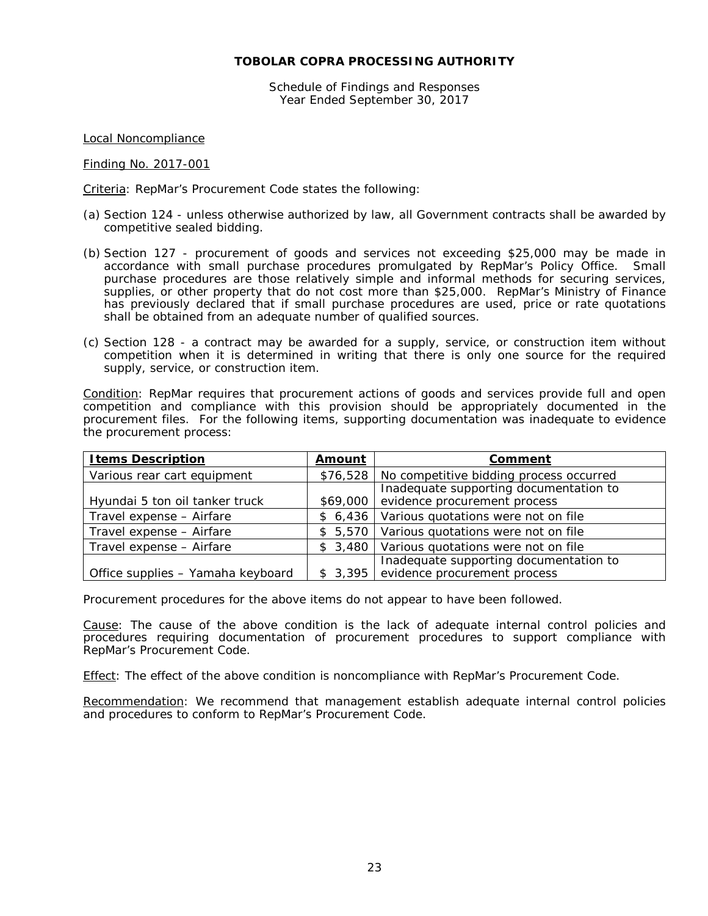Schedule of Findings and Responses Year Ended September 30, 2017

#### Local Noncompliance

#### Finding No. 2017-001

Criteria: RepMar's Procurement Code states the following:

- (a) Section 124 unless otherwise authorized by law, all Government contracts shall be awarded by competitive sealed bidding.
- (b) Section 127 procurement of goods and services not exceeding \$25,000 may be made in accordance with small purchase procedures promulgated by RepMar's Policy Office. Small purchase procedures are those relatively simple and informal methods for securing services, supplies, or other property that do not cost more than \$25,000. RepMar's Ministry of Finance has previously declared that if small purchase procedures are used, price or rate quotations shall be obtained from an adequate number of qualified sources.
- (c) Section 128 a contract may be awarded for a supply, service, or construction item without competition when it is determined in writing that there is only one source for the required supply, service, or construction item.

Condition: RepMar requires that procurement actions of goods and services provide full and open competition and compliance with this provision should be appropriately documented in the procurement files. For the following items, supporting documentation was inadequate to evidence the procurement process:

| <b>Items Description</b>          | Amount   | Comment                                 |
|-----------------------------------|----------|-----------------------------------------|
| Various rear cart equipment       | \$76,528 | No competitive bidding process occurred |
|                                   |          | Inadequate supporting documentation to  |
| Hyundai 5 ton oil tanker truck    | \$69,000 | evidence procurement process            |
| Travel expense - Airfare          | \$6,436  | Various quotations were not on file     |
| Travel expense - Airfare          | \$5,570  | Various quotations were not on file     |
| Travel expense - Airfare          | \$3,480  | Various quotations were not on file     |
|                                   |          | Inadequate supporting documentation to  |
| Office supplies - Yamaha keyboard | \$3,395  | evidence procurement process            |

Procurement procedures for the above items do not appear to have been followed.

Cause: The cause of the above condition is the lack of adequate internal control policies and procedures requiring documentation of procurement procedures to support compliance with RepMar's Procurement Code.

Effect: The effect of the above condition is noncompliance with RepMar's Procurement Code.

Recommendation: We recommend that management establish adequate internal control policies and procedures to conform to RepMar's Procurement Code.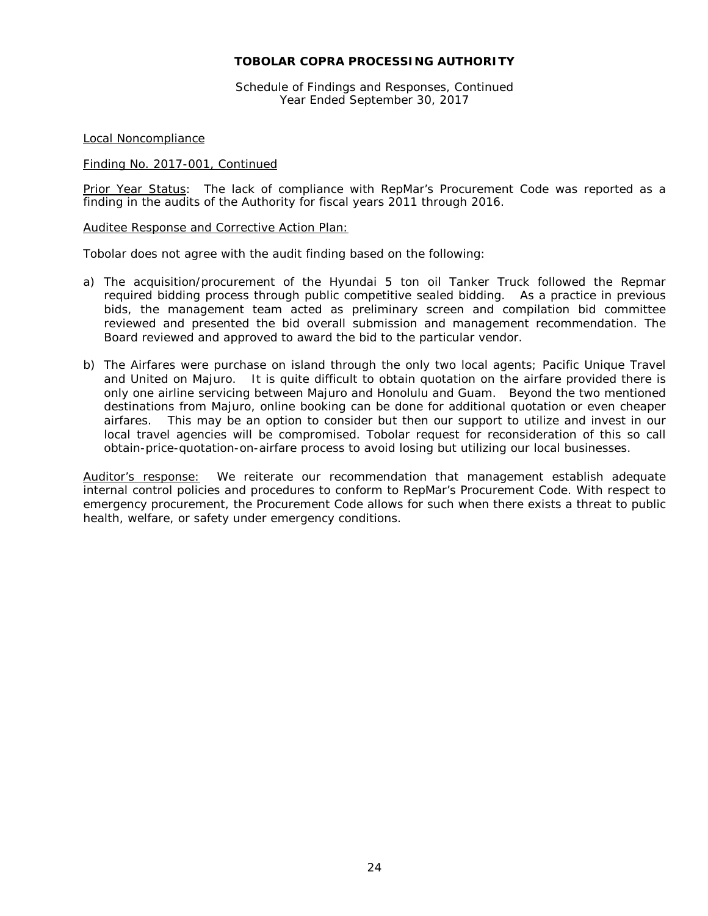Schedule of Findings and Responses, Continued Year Ended September 30, 2017

#### Local Noncompliance

#### Finding No. 2017-001, Continued

Prior Year Status: The lack of compliance with RepMar's Procurement Code was reported as a finding in the audits of the Authority for fiscal years 2011 through 2016.

#### Auditee Response and Corrective Action Plan:

Tobolar does not agree with the audit finding based on the following:

- a) The acquisition/procurement of the Hyundai 5 ton oil Tanker Truck followed the Repmar required bidding process through public competitive sealed bidding. As a practice in previous bids, the management team acted as preliminary screen and compilation bid committee reviewed and presented the bid overall submission and management recommendation. The Board reviewed and approved to award the bid to the particular vendor.
- b) The Airfares were purchase on island through the only two local agents; Pacific Unique Travel and United on Majuro. It is quite difficult to obtain quotation on the airfare provided there is only one airline servicing between Majuro and Honolulu and Guam. Beyond the two mentioned destinations from Majuro, online booking can be done for additional quotation or even cheaper airfares. This may be an option to consider but then our support to utilize and invest in our local travel agencies will be compromised. Tobolar request for reconsideration of this so call obtain-price-quotation-on-airfare process to avoid losing but utilizing our local businesses.

Auditor's response: We reiterate our recommendation that management establish adequate internal control policies and procedures to conform to RepMar's Procurement Code. With respect to emergency procurement, the Procurement Code allows for such when there exists a threat to public health, welfare, or safety under emergency conditions.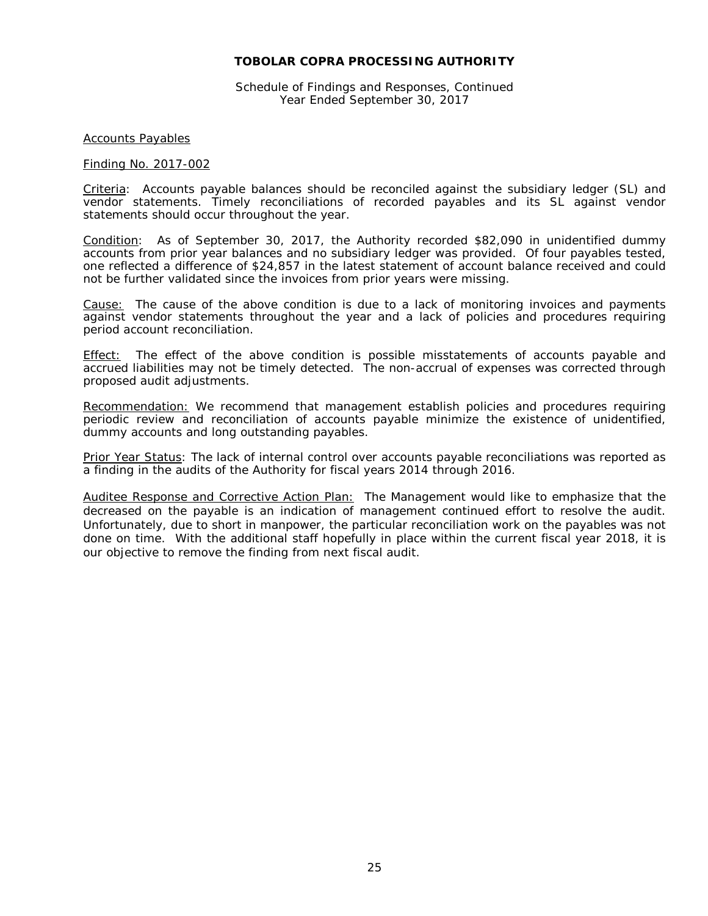Schedule of Findings and Responses, Continued Year Ended September 30, 2017

# Accounts Payables

#### Finding No. 2017-002

Criteria: Accounts payable balances should be reconciled against the subsidiary ledger (SL) and vendor statements. Timely reconciliations of recorded payables and its SL against vendor statements should occur throughout the year.

Condition: As of September 30, 2017, the Authority recorded \$82,090 in unidentified dummy accounts from prior year balances and no subsidiary ledger was provided. Of four payables tested, one reflected a difference of \$24,857 in the latest statement of account balance received and could not be further validated since the invoices from prior years were missing.

Cause: The cause of the above condition is due to a lack of monitoring invoices and payments against vendor statements throughout the year and a lack of policies and procedures requiring period account reconciliation.

**Effect:** The effect of the above condition is possible misstatements of accounts payable and accrued liabilities may not be timely detected. The non-accrual of expenses was corrected through proposed audit adjustments.

Recommendation: We recommend that management establish policies and procedures requiring periodic review and reconciliation of accounts payable minimize the existence of unidentified, dummy accounts and long outstanding payables.

Prior Year Status: The lack of internal control over accounts payable reconciliations was reported as a finding in the audits of the Authority for fiscal years 2014 through 2016.

Auditee Response and Corrective Action Plan: The Management would like to emphasize that the decreased on the payable is an indication of management continued effort to resolve the audit. Unfortunately, due to short in manpower, the particular reconciliation work on the payables was not done on time. With the additional staff hopefully in place within the current fiscal year 2018, it is our objective to remove the finding from next fiscal audit.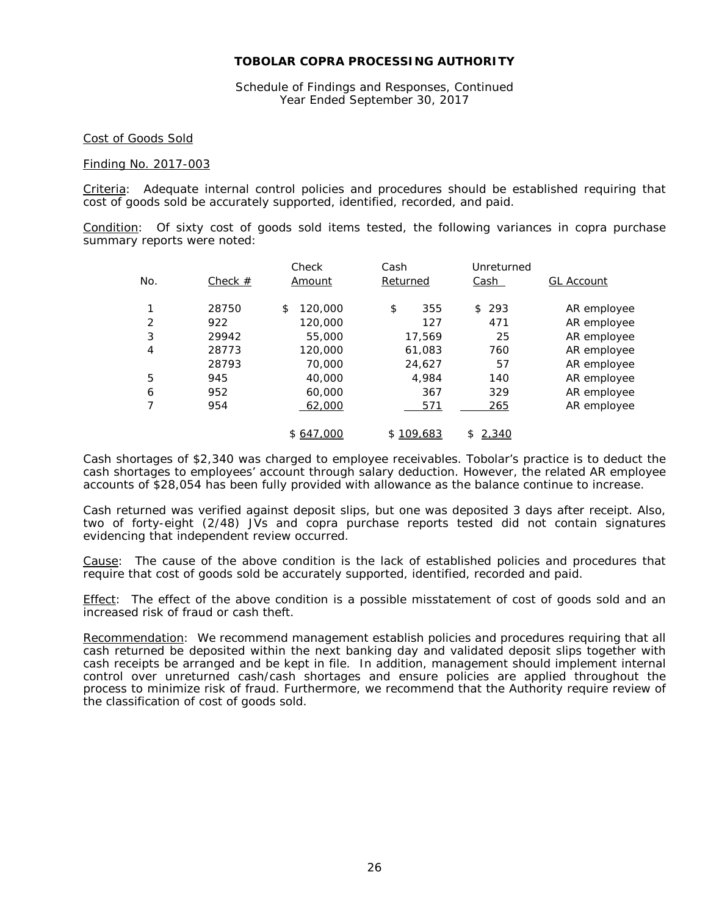Schedule of Findings and Responses, Continued Year Ended September 30, 2017

#### Cost of Goods Sold

#### Finding No. 2017-003

Criteria: Adequate internal control policies and procedures should be established requiring that cost of goods sold be accurately supported, identified, recorded, and paid.

Condition: Of sixty cost of goods sold items tested, the following variances in copra purchase summary reports were noted:

|                |           | Check         | Cash      | Unreturned  |                   |
|----------------|-----------|---------------|-----------|-------------|-------------------|
| No.            | Check $#$ | Amount        | Returned  | Cash        | <b>GL Account</b> |
| 1              | 28750     | \$<br>120,000 | \$<br>355 | \$293       | AR employee       |
| $\overline{2}$ | 922       | 120,000       | 127       | 471         | AR employee       |
| 3              | 29942     | 55,000        | 17,569    | 25          | AR employee       |
| 4              | 28773     | 120,000       | 61,083    | 760         | AR employee       |
|                | 28793     | 70,000        | 24,627    | 57          | AR employee       |
| 5              | 945       | 40,000        | 4,984     | 140         | AR employee       |
| 6              | 952       | 60,000        | 367       | 329         | AR employee       |
| 7              | 954       | 62,000        | 571       | 265         | AR employee       |
|                |           | \$647,000     | \$109,683 | 2,340<br>\$ |                   |

Cash shortages of \$2,340 was charged to employee receivables. Tobolar's practice is to deduct the cash shortages to employees' account through salary deduction. However, the related AR employee accounts of \$28,054 has been fully provided with allowance as the balance continue to increase.

Cash returned was verified against deposit slips, but one was deposited 3 days after receipt. Also, two of forty-eight (2/48) JVs and copra purchase reports tested did not contain signatures evidencing that independent review occurred.

Cause: The cause of the above condition is the lack of established policies and procedures that require that cost of goods sold be accurately supported, identified, recorded and paid.

Effect: The effect of the above condition is a possible misstatement of cost of goods sold and an increased risk of fraud or cash theft.

Recommendation: We recommend management establish policies and procedures requiring that all cash returned be deposited within the next banking day and validated deposit slips together with cash receipts be arranged and be kept in file. In addition, management should implement internal control over unreturned cash/cash shortages and ensure policies are applied throughout the process to minimize risk of fraud. Furthermore, we recommend that the Authority require review of the classification of cost of goods sold.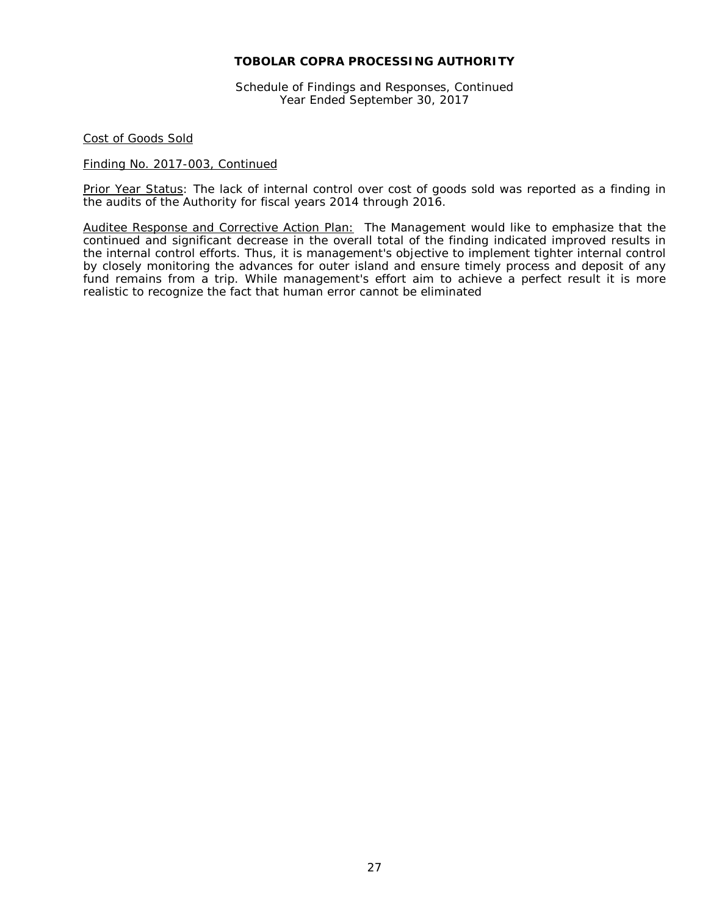Schedule of Findings and Responses, Continued Year Ended September 30, 2017

Cost of Goods Sold

#### Finding No. 2017-003, Continued

Prior Year Status: The lack of internal control over cost of goods sold was reported as a finding in the audits of the Authority for fiscal years 2014 through 2016.

Auditee Response and Corrective Action Plan: The Management would like to emphasize that the continued and significant decrease in the overall total of the finding indicated improved results in the internal control efforts. Thus, it is management's objective to implement tighter internal control by closely monitoring the advances for outer island and ensure timely process and deposit of any fund remains from a trip. While management's effort aim to achieve a perfect result it is more realistic to recognize the fact that human error cannot be eliminated